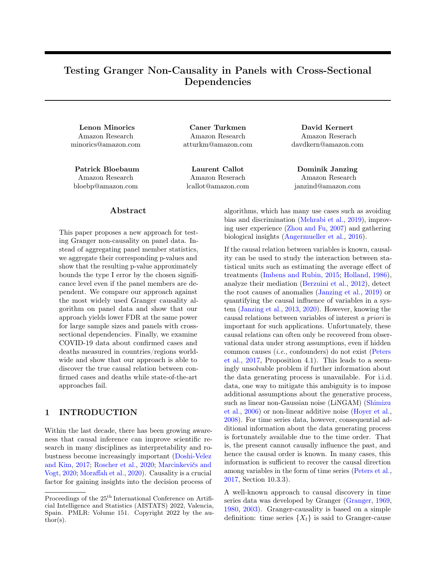# Testing Granger Non-Causality in Panels with Cross-Sectional Dependencies

Amazon Research minorics@amazon.com

Amazon Research bloebp@amazon.com

Lenon Minorics Caner Turkmen David Kernert Amazon Research atturkm@amazon.com

> Amazon Reserach lcallot@amazon.com

Amazon Reserach davdkern@amazon.com

Patrick Bloebaum Laurent Callot Dominik Janzing Amazon Research janzind@amazon.com

## Abstract

This paper proposes a new approach for testing Granger non-causality on panel data. Instead of aggregating panel member statistics, we aggregate their corresponding p-values and show that the resulting p-value approximately bounds the type I error by the chosen significance level even if the panel members are dependent. We compare our approach against the most widely used Granger causality algorithm on panel data and show that our approach yields lower FDR at the same power for large sample sizes and panels with crosssectional dependencies. Finally, we examine COVID-19 data about confirmed cases and deaths measured in countries/regions worldwide and show that our approach is able to discover the true causal relation between confirmed cases and deaths while state-of-the-art approaches fail.

# 1 INTRODUCTION

Within the last decade, there has been growing awareness that causal inference can improve scientific research in many disciplines as interpretability and robustness become increasingly important [\(Doshi-Velez](#page-9-0) [and Kim,](#page-9-0) [2017;](#page-9-0) [Roscher et al.,](#page-10-0) [2020;](#page-10-0) [Marcinkevičs and](#page-10-1) [Vogt,](#page-10-1) [2020;](#page-10-1) [Moraffah et al.,](#page-10-2) [2020\)](#page-10-2). Causality is a crucial factor for gaining insights into the decision process of algorithms, which has many use cases such as avoiding bias and discrimination [\(Mehrabi et al.,](#page-10-3) [2019\)](#page-10-3), improving user experience [\(Zhou and Fu,](#page-10-4) [2007\)](#page-10-4) and gathering biological insights [\(Angermueller et al.,](#page-8-0) [2016\)](#page-8-0).

If the causal relation between variables is known, causality can be used to study the interaction between statistical units such as estimating the average effect of treatments [\(Imbens and Rubin,](#page-9-1) [2015;](#page-9-1) [Holland,](#page-9-2) [1986\)](#page-9-2), analyze their mediation [\(Berzuini et al.,](#page-8-1) [2012\)](#page-8-1), detect the root causes of anomalies [\(Janzing et al.,](#page-9-3) [2019\)](#page-9-3) or quantifying the causal influence of variables in a system [\(Janzing et al.,](#page-9-4) [2013,](#page-9-4) [2020\)](#page-9-5). However, knowing the causal relations between variables of interest a priori is important for such applications. Unfortunately, these causal relations can often only be recovered from observational data under strong assumptions, even if hidden common causes (i.e., confounders) do not exist [\(Peters](#page-10-5) [et al.,](#page-10-5) [2017,](#page-10-5) Proposition 4.1). This leads to a seemingly unsolvable problem if further information about the data generating process is unavailable. For i.i.d. data, one way to mitigate this ambiguity is to impose additional assumptions about the generative process, such as linear non-Gaussian noise (LiNGAM) [\(Shimizu](#page-10-6) [et al.,](#page-10-6) [2006\)](#page-10-6) or non-linear additive noise [\(Hoyer et al.,](#page-9-6) [2008\)](#page-9-6). For time series data, however, consequential additional information about the data generating process is fortunately available due to the time order. That is, the present cannot causally influence the past, and hence the causal order is known. In many cases, this information is sufficient to recover the causal direction among variables in the form of time series [\(Peters et al.,](#page-10-5) [2017,](#page-10-5) Section 10.3.3).

A well-known approach to causal discovery in time series data was developed by Granger [\(Granger,](#page-9-7) [1969,](#page-9-7) [1980,](#page-9-8) [2003\)](#page-9-9). Granger-causality is based on a simple definition: time series  $\{X_t\}$  is said to Granger-cause

Proceedings of the  $25^{\text{th}}$  International Conference on Artificial Intelligence and Statistics (AISTATS) 2022, Valencia, Spain. PMLR: Volume 151. Copyright 2022 by the au- $\text{thor}(s)$ .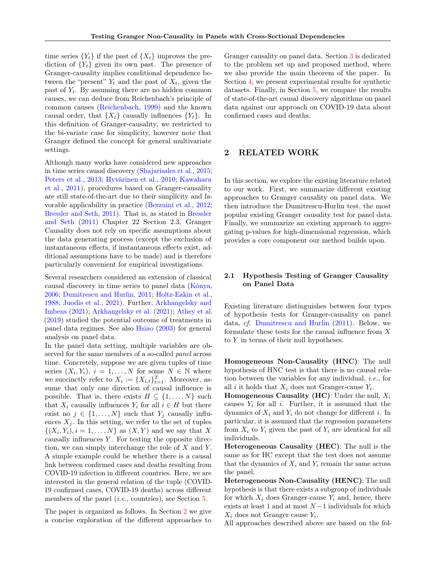time series  ${Y_t}$  if the past of  ${X_t}$  improves the prediction of  ${Y_t}$  given its own past. The presence of Granger-causality implies conditional dependence between the "present"  $Y_t$  and the past of  $X_t$ , given the past of  $Y_t$ . By assuming there are no hidden common causes, we can deduce from Reichenbach's principle of common causes [\(Reichenbach,](#page-10-7) [1999\)](#page-10-7) and the known causal order, that  $\{X_t\}$  causally influences  $\{Y_t\}$ . In this definition of Granger-causality, we restricted to the bi-variate case for simplicity, however note that Granger defined the concept for general multivariate settings.

Although many works have considered new approaches in time series causal discovery [\(Shajarisales et al.,](#page-10-8) [2015;](#page-10-8) [Peters et al.,](#page-10-9) [2013;](#page-10-9) [Hyvärinen et al.,](#page-9-10) [2010;](#page-9-10) [Kawahara](#page-9-11) [et al.,](#page-9-11) [2011\)](#page-9-11), procedures based on Granger-causality are still state-of-the-art due to their simplicity and favorable applicability in practice [\(Berzuini et al.,](#page-8-1) [2012;](#page-8-1) [Bressler and Seth,](#page-8-2) [2011\)](#page-8-2). That is, as stated in [Bressler](#page-8-2) [and Seth](#page-8-2) [\(2011\)](#page-8-2) Chapter 22 Section 2.3, Granger Causality does not rely on specific assumptions about the data generating process (except the exclusion of instantaneous effects, if instantaneous effects exist, additional assumptions have to be made) and is therefore particularly convenient for empirical investigations.

Several researchers considered an extension of classical causal discovery in time series to panel data [\(Kónya,](#page-9-12) [2006;](#page-9-12) [Dumitrescu and Hurlin,](#page-9-13) [2011;](#page-9-13) [Holtz-Eakin et al.,](#page-9-14) [1988;](#page-9-14) [Juodis et al.,](#page-9-15) [2021\)](#page-9-15). Further, [Arkhangelsky and](#page-8-3) [Imbens](#page-8-3) [\(2021\)](#page-8-3); [Arkhangelsky et al.](#page-8-4) [\(2021\)](#page-8-4); [Athey et al.](#page-8-5) [\(2019\)](#page-8-5) studied the potential outcome of treatments in panel data regimes. See also [Hsiao](#page-9-16) [\(2003\)](#page-9-16) for general analysis on panel data.

In the panel data setting, multiple variables are observed for the same members of a so-called panel across time. Concretely, suppose we are given tuples of time series  $(X_i, Y_i)$ ,  $i = 1, ..., N$  for some  $N \in \mathbb{N}$  where we succinctly refer to  $X_i := \{X_{i,t}\}_{t=1}^T$ . Moreover, assume that only one direction of causal influence is possible. That is, there exists  $H \subseteq \{1, \ldots, N\}$  such that  $X_i$  causally influences  $Y_i$  for all  $i \in H$  but there exist no  $j \in \{1, ..., N\}$  such that  $Y_j$  causally influences  $X_i$ . In this setting, we refer to the set of tuples  $\{(X_i,Y_i), i=1,\ldots,N\}$  as  $(X,Y)$  and we say that X causally influences  $Y$ . For testing the opposite direction, we can simply interchange the role of  $X$  and  $Y$ . A simple example could be whether there is a causal link between confirmed cases and deaths resulting from COVID-19 infection in different countries. Here, we are interested in the general relation of the tuple (COVID-19 confirmed cases, COVID-19 deaths) across different members of the panel *(i.e., countries)*, see Section [5.](#page-7-0)

The paper is organized as follows. In Section [2](#page-1-0) we give a concise exploration of the different approaches to Granger causality on panel data. Section [3](#page-3-0) is dedicated to the problem set up and proposed method, where we also provide the main theorem of the paper. In Section [4,](#page-5-0) we present experimental results for synthetic datasets. Finally, in Section [5,](#page-7-0) we compare the results of state-of-the-art causal discovery algorithms on panel data against our approach on COVID-19 data about confirmed cases and deaths.

# <span id="page-1-0"></span>2 RELATED WORK

In this section, we explore the existing literature related to our work. First, we summarize different existing approaches to Granger causality on panel data. We then introduce the Dumitrescu-Hurlin test, the most popular existing Granger causality test for panel data. Finally, we summarize an existing approach to aggregating p-values for high-dimensional regression, which provides a core component our method builds upon.

#### 2.1 Hypothesis Testing of Granger Causality on Panel Data

Existing literature distinguishes between four types of hypothesis tests for Granger-causality on panel data, cf. [Dumitrescu and Hurlin](#page-9-13) [\(2011\)](#page-9-13). Below, we formulate these tests for the causal influence from  $X$ to Y in terms of their null hypotheses.

Homogeneous Non-Causality (HNC): The null hypothesis of HNC test is that there is no causal relation between the variables for any individual, i.e., for all *i* it holds that  $X_i$  does not Granger-cause  $Y_i$ .

**Homogeneous Causality (HC)**: Under the null,  $X_i$ causes  $Y_i$  for all i. Further, it is assumed that the dynamics of  $X_i$  and  $Y_i$  do not change for different i. In particular, it is assumed that the regression parameters from  $X_i$  to  $Y_i$  given the past of  $Y_i$  are identical for all individuals.

Heterogeneous Causality (HEC): The null is the same as for HC except that the test does not assume that the dynamics of  $X_i$  and  $Y_i$  remain the same across the panel.

Heterogeneous Non-Causality (HENC): The null hypothesis is that there exists a subgroup of individuals for which  $X_i$  does Granger-cause  $Y_i$  and, hence, there exists at least 1 and at most  $N-1$  individuals for which  $X_i$  does not Granger cause  $Y_i$ .

All approaches described above are based on the fol-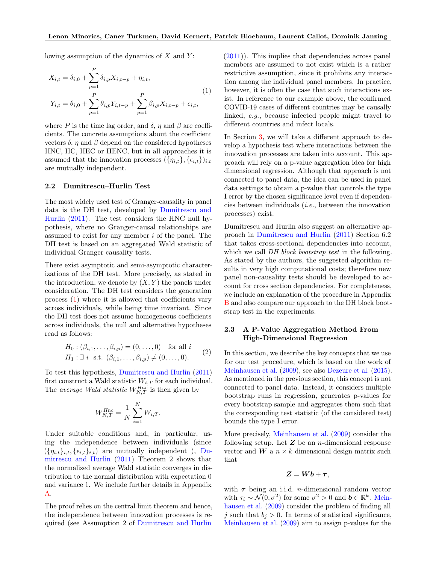lowing assumption of the dynamics of  $X$  and  $Y$ :

$$
X_{i,t} = \delta_{i,0} + \sum_{p=1}^{P} \delta_{i,p} X_{i,t-p} + \eta_{i,t},
$$
  
\n
$$
Y_{i,t} = \theta_{i,0} + \sum_{p=1}^{P} \theta_{i,p} Y_{i,t-p} + \sum_{p=1}^{P} \beta_{i,p} X_{i,t-p} + \epsilon_{i,t},
$$
\n(1)

where P is the time lag order, and  $\delta$ ,  $\eta$  and  $\beta$  are coefficients. The concrete assumptions about the coefficient vectors δ, η and β depend on the considered hypotheses HNC, HC, HEC or HENC, but in all approaches it is assumed that the innovation processes  $({\{\eta_{i,t}\}, {\{\epsilon_{i,t}\}}})_{i,t}$ are mutually independent.

#### <span id="page-2-2"></span>2.2 Dumitrescu–Hurlin Test

The most widely used test of Granger-causality in panel data is the DH test, developed by [Dumitrescu and](#page-9-13) [Hurlin](#page-9-13) [\(2011\)](#page-9-13). The test considers the HNC null hypothesis, where no Granger-causal relationships are assumed to exist for any member  $i$  of the panel. The DH test is based on an aggregated Wald statistic of individual Granger causality tests.

There exist asymptotic and semi-asymptotic characterizations of the DH test. More precisely, as stated in the introduction, we denote by  $(X, Y)$  the panels under consideration. The DH test considers the generation process [\(1\)](#page-2-0) where it is allowed that coefficients vary across individuals, while being time invariant. Since the DH test does not assume homogeneous coefficients across individuals, the null and alternative hypotheses read as follows:

$$
H_0: (\beta_{i,1}, \dots, \beta_{i,p}) = (0, \dots, 0) \text{ for all } i
$$
  
\n
$$
H_1: \exists i \text{ s.t. } (\beta_{i,1}, \dots, \beta_{i,p}) \neq (0, \dots, 0).
$$
 (2)

To test this hypothesis, [Dumitrescu and Hurlin](#page-9-13) [\(2011\)](#page-9-13) first construct a Wald statistic  $W_{i,T}$  for each individual. The *average Wald statistic*  $W_{N,T}^{Hnc}$  is then given by

$$
W_{N,T}^{Hnc} = \frac{1}{N} \sum_{i=1}^{N} W_{i,T}.
$$

Under suitable conditions and, in particular, using the independence between individuals (since  $({\{\eta_{i,t}\}}_{i,t}, {\{\epsilon_{i,t}\}}_{i,t})$  are mutually independent ), [Du](#page-9-13)[mitrescu and Hurlin](#page-9-13) [\(2011\)](#page-9-13) Theorem 2 shows that the normalized average Wald statistic converges in distribution to the normal distribution with expectation 0 and variance 1. We include further details in Appendix [A.](#page-11-0)

The proof relies on the central limit theorem and hence, the independence between innovation processes is required (see Assumption 2 of [Dumitrescu and Hurlin](#page-9-13) <span id="page-2-0"></span> $(2011)$ ). This implies that dependencies across panel members are assumed to not exist which is a rather restrictive assumption, since it prohibits any interaction among the individual panel members. In practice, however, it is often the case that such interactions exist. In reference to our example above, the confirmed COVID-19 cases of different countries may be causally linked, e.g., because infected people might travel to different countries and infect locals.

In Section [3,](#page-3-0) we will take a different approach to develop a hypothesis test where interactions between the innovation processes are taken into account. This approach will rely on a p-value aggregation idea for high dimensional regression. Although that approach is not connected to panel data, the idea can be used in panel data settings to obtain a p-value that controls the type I error by the chosen significance level even if dependencies between individuals (i.e., between the innovation processes) exist.

Dumitrescu and Hurlin also suggest an alternative approach in [Dumitrescu and Hurlin](#page-9-13) [\(2011\)](#page-9-13) Section 6.2 that takes cross-sectional dependencies into account, which we call *DH block bootstrap test* in the following. As stated by the authors, the suggested algorithm results in very high computational costs; therefore new panel non-causality tests should be developed to account for cross section dependencies. For completeness, we include an explanation of the procedure in Appendix [B](#page-11-1) and also compare our approach to the DH block bootstrap test in the experiments.

#### <span id="page-2-3"></span>2.3 A P-Value Aggregation Method From High-Dimensional Regression

<span id="page-2-1"></span>In this section, we describe the key concepts that we use for our test procedure, which is based on the work of [Meinhausen et al.](#page-10-10) [\(2009\)](#page-10-10), see also [Dezeure et al.](#page-9-17) [\(2015\)](#page-9-17). As mentioned in the previous section, this concept is not connected to panel data. Instead, it considers multiple bootstrap runs in regression, generates p-values for every bootstrap sample and aggregates them such that the corresponding test statistic (of the considered test) bounds the type I error.

More precisely, [Meinhausen et al.](#page-10-10) [\(2009\)](#page-10-10) consider the following setup. Let  $Z$  be an *n*-dimensional response vector and  $W$  a  $n \times k$  dimensional design matrix such that

$$
\boldsymbol{Z} = \boldsymbol{W} \boldsymbol{b} + \boldsymbol{\tau},
$$

with  $\tau$  being an i.i.d. *n*-dimensional random vector with  $\tau_i \sim \mathcal{N}(0, \sigma^2)$  for some  $\sigma^2 > 0$  and  $\mathbf{b} \in \mathbb{R}^k$ . [Mein](#page-10-10)[hausen et al.](#page-10-10) [\(2009\)](#page-10-10) consider the problem of finding all j such that  $b_j > 0$ . In terms of statistical significance, [Meinhausen et al.](#page-10-10) [\(2009\)](#page-10-10) aim to assign p-values for the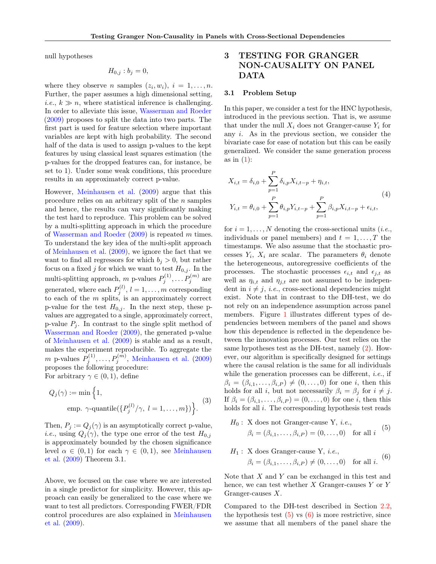null hypotheses

$$
H_{0,j}: b_j=0,
$$

where they observe *n* samples  $(z_i, w_i)$ ,  $i = 1, ..., n$ . Further, the paper assumes a high dimensional setting, *i.e.*,  $k \gg n$ , where statistical inference is challenging. In order to alleviate this issue, [Wasserman and Roeder](#page-10-11) [\(2009\)](#page-10-11) proposes to split the data into two parts. The first part is used for feature selection where important variables are kept with high probability. The second half of the data is used to assign p-values to the kept features by using classical least squares estimation (the p-values for the dropped features can, for instance, be set to 1). Under some weak conditions, this procedure results in an approximately correct p-value.

However, [Meinhausen et al.](#page-10-10) [\(2009\)](#page-10-10) argue that this procedure relies on an arbitrary split of the n samples and hence, the results can vary significantly making the test hard to reproduce. This problem can be solved by a multi-splitting approach in which the procedure of [Wasserman and Roeder](#page-10-11) [\(2009\)](#page-10-11) is repeated m times. To understand the key idea of the multi-split approach of [Meinhausen et al.](#page-10-10) [\(2009\)](#page-10-10), we ignore the fact that we want to find all regressors for which  $b_j > 0$ , but rather focus on a fixed j for which we want to test  $H_{0,j}$ . In the multi-splitting approach, m p-values  $P_j^{(1)}, \ldots P_j^{(m)}$  are generated, where each  $P_j^{(l)}$ ,  $l = 1, ..., m$  corresponding to each of the m splits, is an approximately correct p-value for the test  $H_{0,j}$ . In the next step, these pvalues are aggregated to a single, approximately correct, p-value  $P_i$ . In contrast to the single split method of [Wasserman and Roeder](#page-10-11) [\(2009\)](#page-10-11), the generated p-value of [Meinhausen et al.](#page-10-10) [\(2009\)](#page-10-10) is stable and as a result, makes the experiment reproducible. To aggregate the m p-values  $P_j^{(1)}, \ldots, P_j^{(m)}$ , [Meinhausen et al.](#page-10-10) [\(2009\)](#page-10-10) proposes the following procedure: For arbitrary  $\gamma \in (0,1)$ , define

$$
Q_j(\gamma) := \min\left\{1, \text{emp. } \gamma\text{-quantile}(\{P_j^{(l)}/\gamma, l = 1, ..., m\})\right\}.
$$
\n(3)

Then,  $P_j := Q_j(\gamma)$  is an asymptotically correct p-value, *i.e.*, using  $Q_j(\gamma)$ , the type one error of the test  $H_{0,j}$ is approximately bounded by the chosen significance level  $\alpha \in (0,1)$  for each  $\gamma \in (0,1)$ , see [Meinhausen](#page-10-10) [et al.](#page-10-10) [\(2009\)](#page-10-10) Theorem 3.1.

Above, we focused on the case where we are interested in a single predictor for simplicity. However, this approach can easily be generalized to the case where we want to test all predictors. Corresponding FWER/FDR control procedures are also explained in [Meinhausen](#page-10-10) [et al.](#page-10-10) [\(2009\)](#page-10-10).

# <span id="page-3-0"></span>3 TESTING FOR GRANGER NON-CAUSALITY ON PANEL DATA

#### 3.1 Problem Setup

In this paper, we consider a test for the HNC hypothesis, introduced in the previous section. That is, we assume that under the null  $X_i$  does not Granger-cause  $Y_i$  for any i. As in the previous section, we consider the bivariate case for ease of notation but this can be easily generalized. We consider the same generation process as in  $(1)$ :

<span id="page-3-4"></span>
$$
X_{i,t} = \delta_{i,0} + \sum_{p=1}^{P} \delta_{i,p} X_{i,t-p} + \eta_{i,t},
$$
  
\n
$$
Y_{i,t} = \theta_{i,0} + \sum_{p=1}^{P} \theta_{i,p} Y_{i,t-p} + \sum_{p=1}^{P} \beta_{i,p} X_{i,t-p} + \epsilon_{i,t},
$$
\n(4)

for  $i = 1, \ldots, N$  denoting the cross-sectional units (*i.e.*, individuals or panel members) and  $t = 1, \ldots, T$  the timestamps. We also assume that the stochastic processes  $Y_i$ ,  $X_i$  are scalar. The parameters  $\theta_i$  denote the heterogeneous, autoregressive coefficients of the processes. The stochastic processes  $\epsilon_{i,t}$  and  $\epsilon_{i,t}$  as well as  $\eta_{i,t}$  and  $\eta_{j,t}$  are not assumed to be independent in  $i \neq j$ , *i.e.*, cross-sectional dependencies might exist. Note that in contrast to the DH-test, we do not rely on an independence assumption across panel members. Figure [1](#page-4-0) illustrates different types of dependencies between members of the panel and shows how this dependence is reflected in the dependence between the innovation processes. Our test relies on the same hypotheses test as the DH-test, namely [\(2\)](#page-2-1). However, our algorithm is specifically designed for settings where the causal relation is the same for all individuals while the generation processes can be different, *i.e.*, if  $\beta_i = (\beta_{i,1}, \ldots, \beta_{i,P}) \neq (0, \ldots, 0)$  for one i, then this holds for all *i*, but not necessarily  $\beta_i = \beta_j$  for  $i \neq j$ . If  $\beta_i = (\beta_{i,1}, \ldots, \beta_{i,P}) = (0, \ldots, 0)$  for one *i*, then this holds for all  $i$ . The corresponding hypothesis test reads

<span id="page-3-3"></span><span id="page-3-1"></span>
$$
H_0: \text{ X does not Granger-cause Y, } i.e.,
$$

$$
\beta_i = (\beta_{i,1}, \dots, \beta_{i,P}) = (0, \dots, 0) \text{ for all } i \tag{5}
$$

<span id="page-3-2"></span>
$$
H_1: \text{ X does Granger-cause Y, } i.e.,
$$

$$
\beta_i = (\beta_{i,1}, \dots, \beta_{i,P}) \neq (0, \dots, 0) \text{ for all } i. \tag{6}
$$

Note that  $X$  and  $Y$  can be exchanged in this test and hence, we can test whether  $X$  Granger-causes  $Y$  or  $Y$ Granger-causes  $X$ .

Compared to the DH-test described in Section [2.2,](#page-2-2) the hypothesis test  $(5)$  vs  $(6)$  is more restrictive, since we assume that all members of the panel share the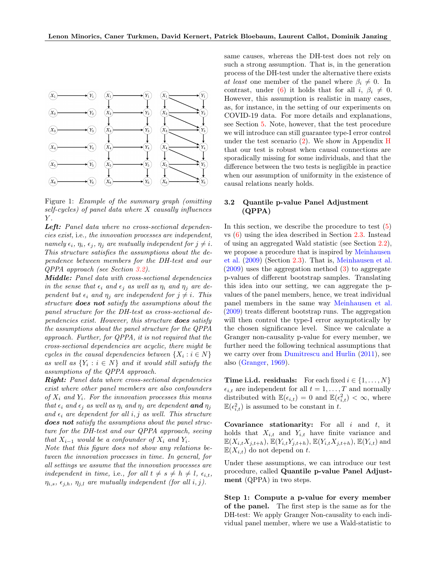<span id="page-4-0"></span>

Figure 1: Example of the summary graph (omitting self-cycles) of panel data where X causally influences  $Y$ .

Left: Panel data where no cross-sectional dependencies exist, i.e., the innovation processes are independent, namely  $\epsilon_i$ ,  $\eta_i$ ,  $\epsilon_j$ ,  $\eta_j$  are mutually independent for  $j \neq i$ . This structure satisfies the assumptions about the dependence between members for the DH-test and our QPPA approach (see Section [3.2\)](#page-4-1).

Middle: Panel data with cross-sectional dependencies in the sense that  $\epsilon_i$  and  $\epsilon_j$  as well as  $\eta_i$  and  $\eta_j$  are dependent but  $\epsilon_i$  and  $\eta_i$  are independent for  $j \neq i$ . This structure **does not** satisfy the assumptions about the panel structure for the DH-test as cross-sectional dependencies exist. However, this structure does satisfy the assumptions about the panel structure for the QPPA approach. Further, for QPPA, it is not required that the cross-sectional dependencies are acyclic, there might be cycles in the causal dependencies between  $\{X_i : i \in N\}$ as well as  $\{Y_i : i \in N\}$  and it would still satisfy the assumptions of the QPPA approach.

**Right:** Panel data where cross-sectional dependencies exist where other panel members are also confounders of  $X_i$  and  $Y_i$ . For the innovation processes this means that  $\epsilon_i$  and  $\epsilon_j$  as well as  $\eta_i$  and  $\eta_j$  are dependent **and**  $\eta_j$ and  $\epsilon_i$  are dependent for all i, j as well. This structure does not satisfy the assumptions about the panel structure for the DH-test and our QPPA approach, seeing that  $X_{i-1}$  would be a confounder of  $X_i$  and  $Y_i$ .

Note that this figure does not show any relations between the innovation processes in time. In general, for all settings we assume that the innovation processes are independent in time, i.e., for all  $t \neq s \neq h \neq l$ ,  $\epsilon_{i,t}$ ,  $\eta_{i,s}, \epsilon_{i,h}, \eta_{i,l}$  are mutually independent (for all i, j).

same causes, whereas the DH-test does not rely on such a strong assumption. That is, in the generation process of the DH-test under the alternative there exists at least one member of the panel where  $\beta_i \neq 0$ . In contrast, under [\(6\)](#page-3-2) it holds that for all i,  $\beta_i \neq 0$ . However, this assumption is realistic in many cases, as, for instance, in the setting of our experiments on COVID-19 data. For more details and explanations, see Section [5.](#page-7-0) Note, however, that the test procedure we will introduce can still guarantee type-I error control under the test scenario  $(2)$ . We show in Appendix [H](#page-17-0) that our test is robust when causal connections are sporadically missing for some individuals, and that the difference between the two tests is negligible in practice when our assumption of uniformity in the existence of causal relations nearly holds.

#### <span id="page-4-1"></span>3.2 Quantile p-value Panel Adjustment (QPPA)

In this section, we describe the procedure to test [\(5\)](#page-3-1) vs [\(6\)](#page-3-2) using the idea described in Section [2.3.](#page-2-3) Instead of using an aggregated Wald statistic (see Section [2.2\)](#page-2-2), we propose a procedure that is inspired by [Meinhausen](#page-10-10) [et al.](#page-10-10) [\(2009\)](#page-10-10) (Section [2.3\)](#page-2-3). That is, [Meinhausen et al.](#page-10-10) [\(2009\)](#page-10-10) uses the aggregation method [\(3\)](#page-3-3) to aggregate p-values of different bootstrap samples. Translating this idea into our setting, we can aggregate the pvalues of the panel members, hence, we treat individual panel members in the same way [Meinhausen et al.](#page-10-10) [\(2009\)](#page-10-10) treats different bootstrap runs. The aggregation will then control the type-I error asymptotically by the chosen significance level. Since we calculate a Granger non-causality p-value for every member, we further need the following technical assumptions that we carry over from [Dumitrescu and Hurlin](#page-9-13) [\(2011\)](#page-9-13), see also [\(Granger,](#page-9-7) [1969\)](#page-9-7).

**Time i.i.d. residuals:** For each fixed  $i \in \{1, \ldots, N\}$  $\epsilon_{i,t}$  are independent for all  $t = 1, \ldots, T$  and normally distributed with  $\mathbb{E}(\epsilon_{i,t}) = 0$  and  $\mathbb{E}(\epsilon_{i,t}^2) < \infty$ , where  $\mathbb{E}(\epsilon_{i,t}^2)$  is assumed to be constant in t.

**Covariance stationarity:** For all  $i$  and  $t$ , it holds that  $X_{i,t}$  and  $Y_{i,t}$  have finite variance and  $\mathbb{E}(X_{i,t}X_{j,t+h}), \mathbb{E}(Y_{i,t}Y_{j,t+h}), \mathbb{E}(Y_{i,t}X_{j,t+h}), \mathbb{E}(Y_{i,t})$  and  $\mathbb{E}(X_{i,t})$  do not depend on t.

Under these assumptions, we can introduce our test procedure, called Quantile p-value Panel Adjustment (QPPA) in two steps.

<span id="page-4-2"></span>Step 1: Compute a p-value for every member of the panel. The first step is the same as for the DH-test: We apply Granger Non-causality to each individual panel member, where we use a Wald-statistic to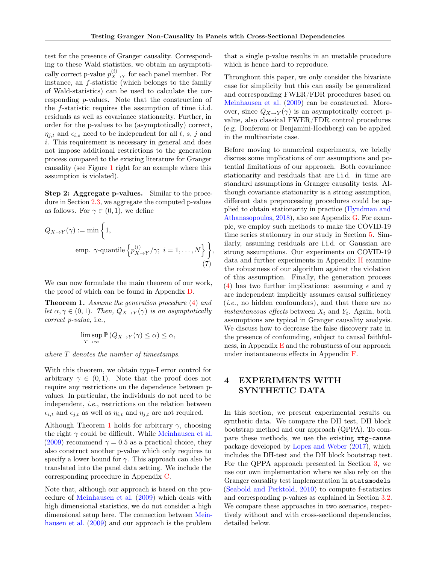test for the presence of Granger causality. Corresponding to these Wald statistics, we obtain an asymptotically correct p-value  $p_X^{(i)}$  $X \rightarrow Y$  for each panel member. For instance, an f-statistic (which belongs to the family of Wald-statistics) can be used to calculate the corresponding p-values. Note that the construction of the f-statistic requires the assumption of time i.i.d. residuals as well as covariance stationarity. Further, in order for the p-values to be (asymptotically) correct,  $\eta_{i,t}$  and  $\epsilon_{i,s}$  need to be independent for all t, s, j and i. This requirement is necessary in general and does not impose additional restrictions to the generation process compared to the existing literature for Granger causality (see Figure [1](#page-4-0) right for an example where this assumption is violated).

Step 2: Aggregate p-values. Similar to the procedure in Section [2.3,](#page-2-3) we aggregate the computed p-values as follows. For  $\gamma \in (0,1)$ , we define

$$
Q_{X \to Y}(\gamma) := \min \left\{ 1,
$$
  
emp.  $\gamma$ -quantile  $\left\{ p_{X \to Y}^{(i)} / \gamma; i = 1, ..., N \right\} \right\},$  (7)

We can now formulate the main theorem of our work, the proof of which can be found in Appendix [D.](#page-12-0)

<span id="page-5-1"></span>Theorem 1. Assume the generation procedure [\(4\)](#page-3-4) and let  $\alpha, \gamma \in (0, 1)$ . Then,  $Q_{X\rightarrow Y}(\gamma)$  is an asymptotically correct p-value, i.e.,

$$
\limsup_{T \to \infty} \mathbb{P}\left(Q_{X \to Y}(\gamma) \le \alpha\right) \le \alpha,
$$

where T denotes the number of timestamps.

With this theorem, we obtain type-I error control for arbitrary  $\gamma \in (0,1)$ . Note that the proof does not require any restrictions on the dependence between pvalues. In particular, the individuals do not need to be independent, i.e., restrictions on the relation between  $\epsilon_{i,t}$  and  $\epsilon_{j,t}$  as well as  $\eta_{i,t}$  and  $\eta_{j,t}$  are not required.

Although Theorem [1](#page-5-1) holds for arbitrary  $\gamma$ , choosing the right  $\gamma$  could be difficult. While [Meinhausen et al.](#page-10-10) [\(2009\)](#page-10-10) recommend  $\gamma = 0.5$  as a practical choice, they also construct another p-value which only requires to specify a lower bound for  $\gamma$ . This approach can also be translated into the panel data setting. We include the corresponding procedure in Appendix [C.](#page-12-1)

Note that, although our approach is based on the procedure of [Meinhausen et al.](#page-10-10) [\(2009\)](#page-10-10) which deals with high dimensional statistics, we do not consider a high dimensional setup here. The connection between [Mein](#page-10-10)[hausen et al.](#page-10-10) [\(2009\)](#page-10-10) and our approach is the problem

that a single p-value results in an unstable procedure which is hence hard to reproduce.

Throughout this paper, we only consider the bivariate case for simplicity but this can easily be generalized and corresponding FWER/FDR procedures based on [Meinhausen et al.](#page-10-10) [\(2009\)](#page-10-10) can be constructed. Moreover, since  $Q_{X\to Y}(\gamma)$  is an asymptotically correct pvalue, also classical FWER/FDR control procedures (e.g. Bonferoni or Benjamini-Hochberg) can be applied in the multivariate case.

<span id="page-5-2"></span>Before moving to numerical experiments, we briefly discuss some implications of our assumptions and potential limitations of our approach. Both covariance stationarity and residuals that are i.i.d. in time are standard assumptions in Granger causality tests. Although covariance stationarity is a strong assumption, different data preprocessing procedures could be applied to obtain stationarity in practice [\(Hyndman and](#page-9-18) [Athanasopoulos,](#page-9-18) [2018\)](#page-9-18), also see Appendix [G.](#page-16-0) For example, we employ such methods to make the COVID-19 time series stationary in our study in Section [5.](#page-7-0) Similarly, assuming residuals are i.i.d. or Gaussian are strong assumptions. Our experiments on COVID-19 data and further experiments in Appendix [H](#page-17-0) examine the robustness of our algorithm against the violation of this assumption. Finally, the generation process [\(4\)](#page-3-4) has two further implications: assuming  $\epsilon$  and  $\eta$ are independent implicitly assumes causal sufficiency (i.e., no hidden confounders), and that there are no instantaneous effects between  $X_t$  and  $Y_t$ . Again, both assumptions are typical in Granger causality analysis. We discuss how to decrease the false discovery rate in the presence of confounding, subject to causal faithfulness, in Appendix  $E$  and the robustness of our approach under instantaneous effects in Appendix [F.](#page-15-0)

# <span id="page-5-0"></span>4 EXPERIMENTS WITH SYNTHETIC DATA

In this section, we present experimental results on synthetic data. We compare the DH test, DH block bootstrap method and our approach (QPPA). To compare these methods, we use the existing xtg-cause package developed by [Lopez and Weber](#page-9-19) [\(2017\)](#page-9-19), which includes the DH-test and the DH block bootstrap test. For the QPPA approach presented in Section [3,](#page-3-0) we use our own implementation where we also rely on the Granger causality test implementation in statsmodels [\(Seabold and Perktold,](#page-10-12) [2010\)](#page-10-12) to compute f-statistics and corresponding p-values as explained in Section [3.2.](#page-4-2) We compare these approaches in two scenarios, respectively without and with cross-sectional dependencies, detailed below.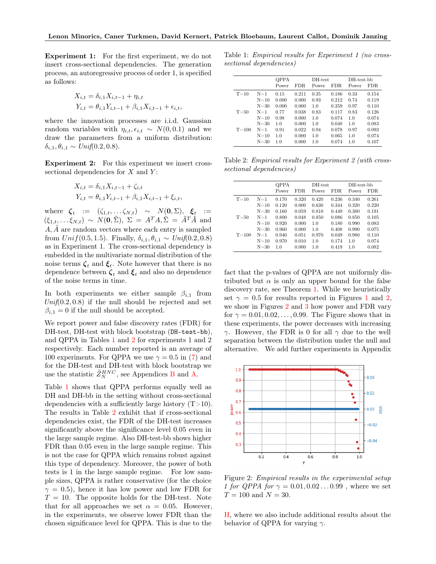Experiment 1: For the first experiment, we do not insert cross-sectional dependencies. The generation process, an autoregressive process of order 1, is specified as follows:

$$
X_{i,t} = \delta_{i,1} X_{i,t-1} + \eta_{i,t}
$$
  
\n
$$
Y_{i,t} = \theta_{i,1} Y_{i,t-1} + \beta_{i,1} X_{i,t-1} + \epsilon_{i,t},
$$

where the innovation processes are i.i.d. Gaussian random variables with  $\eta_{i,t}, \epsilon_{i,t} \sim N(0, 0.1)$  and we draw the parameters from a uniform distribution:  $\delta_{i,1}, \theta_{i,1} \sim Unif(0.2, 0.8).$ 

Experiment 2: For this experiment we insert crosssectional dependencies for  $X$  and  $Y$ :

$$
X_{i,t} = \delta_{i,1} X_{i,t-1} + \zeta_{i,t}
$$
  

$$
Y_{i,t} = \theta_{i,1} Y_{i,t-1} + \beta_{i,1} X_{i,t-1} + \xi_{i,t},
$$

where  $\zeta_t := (\zeta_{1,t}, \ldots, \zeta_{N,t}) \sim N(0, \Sigma), \xi_t :=$  $(\xi_{1,t},\ldots,\xi_{N,t}) \sim N(\mathbf{0},\tilde{\Sigma}), \ \Sigma = A^T A, \tilde{\Sigma} = \tilde{A}^T \tilde{A}$  and  $A, A$  are random vectors where each entry is sampled from  $Unif(0.5, 1.5)$ . Finally,  $\delta_{i,1}, \theta_{i,1} \sim Unif(0.2, 0.8)$ as in Experiment 1. The cross-sectional dependency is embedded in the multivariate normal distribution of the noise terms  $\zeta_t$  and  $\xi_t$ . Note however that there is no dependence between  $\zeta_t$  and  $\xi_t$  and also no dependence of the noise terms in time.

In both experiments we either sample  $\beta_{i,1}$  from  $Unif(0.2, 0.8)$  if the null should be rejected and set  $\beta_{i,1} = 0$  if the null should be accepted.

We report power and false discovery rates (FDR) for DH-test, DH-test with block bootstrap (DH-test-bb), and QPPA in Tables [1](#page-6-0) and [2](#page-6-1) for experiments 1 and 2 respectively. Each number reported is an average of 100 experiments. For QPPA we use  $\gamma = 0.5$  in [\(7\)](#page-5-2) and for the DH-test and DH-test with block bootstrap we use the statistic  $\tilde{Z}_N^{HNC}$ , see Appendices [B](#page-11-1) and [A.](#page-11-0)

Table [1](#page-6-0) shows that QPPA performs equally well as DH and DH-bb in the setting without cross-sectional dependencies with a sufficiently large history  $(T>10)$ . The results in Table [2](#page-6-1) exhibit that if cross-sectional dependencies exist, the FDR of the DH-test increases significantly above the significance level 0.05 even in the large sample regime. Also DH-test-bb shows higher FDR than 0.05 even in the large sample regime. This is not the case for QPPA which remains robust against this type of dependency. Moreover, the power of both tests is 1 in the large sample regime. For low sample sizes, QPPA is rather conservative (for the choice  $\gamma = 0.5$ ), hence it has low power and low FDR for  $T = 10$ . The opposite holds for the DH-test. Note that for all approaches we set  $\alpha = 0.05$ . However, in the experiments, we observe lower FDR than the chosen significance level for QPPA. This is due to the

<span id="page-6-0"></span>Table 1: Empirical results for Experiment 1 (no crosssectional dependencies)

|           |          | <b>QPPA</b><br>FDR.<br>Power |       | $DH-test$<br>FDR.<br>Power |       | DH-test-bb<br>FDR.<br>Power |       |
|-----------|----------|------------------------------|-------|----------------------------|-------|-----------------------------|-------|
|           |          |                              |       |                            |       |                             |       |
| $T=10$    | $N=1$    | 0.15                         | 0.211 | 0.35                       | 0.186 | 0.33                        | 0.154 |
|           | $N=10$   | 0.000                        | 0.000 | 0.93                       | 0.212 | 0.74                        | 0.119 |
|           | $N = 30$ | 0.000                        | 0.000 | 1.0                        | 0.359 | 0.97                        | 0.110 |
| $T = 50$  | $N=1$    | 0.77                         | 0.038 | 0.83                       | 0.117 | 0.83                        | 0.126 |
|           | $N=10$   | 0.98                         | 0.000 | 1.0                        | 0.074 | 1.0                         | 0.074 |
|           | $N = 30$ | 1.0                          | 0.000 | 1.0                        | 0.048 | 1.0                         | 0.083 |
| $T = 100$ | $N=1$    | 0.91                         | 0.022 | 0.94                       | 0.078 | 0.97                        | 0.093 |
|           | $N=10$   | 1.0                          | 0.000 | 1.0                        | 0.065 | 1.0                         | 0.074 |
|           | $N = 30$ | 1.0                          | 0.000 | 1.0                        | 0.074 | 1.0                         | 0.107 |

<span id="page-6-1"></span>Table 2: Empirical results for Experiment 2 (with crosssectional dependencies)

|           |          | <b>QPPA</b> |       | DH-test |       | DH-test-bb |       |
|-----------|----------|-------------|-------|---------|-------|------------|-------|
|           |          | Power       | FDR.  | Power   | FDR.  | Power      | FDR.  |
| $T=10$    | $N=1$    | 0.170       | 0.320 | 0.420   | 0.236 | 0.340      | 0.261 |
|           | $N=10$   | 0.120       | 0.000 | 0.630   | 0.344 | 0.320      | 0.220 |
|           | $N = 30$ | 0.160       | 0.059 | 0.810   | 0.449 | 0.380      | 0.191 |
| $T = 50$  | $N=1$    | 0.800       | 0.048 | 0.850   | 0.086 | 0.850      | 0.105 |
|           | $N=10$   | 0.920       | 0.000 | 1.0     | 0.180 | 0.990      | 0.083 |
|           | $N = 30$ | 0.960       | 0.000 | 1.0     | 0.408 | 0.990      | 0.075 |
| $T = 100$ | $N=1$    | 0.940       | 0.051 | 0.970   | 0.049 | 0.980      | 0.110 |
|           | $N=10$   | 0.970       | 0.010 | 1.0     | 0.174 | 1.0        | 0.074 |
|           | $N = 30$ | 1.0         | 0.000 | 1.0     | 0.419 | 1.0        | 0.082 |

fact that the p-values of QPPA are not uniformly distributed but  $\alpha$  is only an upper bound for the false discovery rate, see Theorem [1.](#page-5-1) While we heuristically set  $\gamma = 0.5$  for results reported in Figures [1](#page-6-0) and [2,](#page-6-1) we show in Figures [2](#page-6-2) and [3](#page-7-1) how power and FDR vary for  $\gamma = 0.01, 0.02, \ldots, 0.99$ . The Figure shows that in these experiments, the power decreases with increasing γ. However, the FDR is 0 for all  $γ$  due to the well separation between the distribution under the null and alternative. We add further experiments in Appendix

<span id="page-6-2"></span>

Figure 2: Empirical results in the experimental setup 1 for QPPA for  $\gamma = 0.01, 0.02 \ldots 0.99$ , where we set  $T = 100$  and  $N = 30$ .

[H,](#page-17-0) where we also include additional results about the behavior of QPPA for varying  $\gamma$ .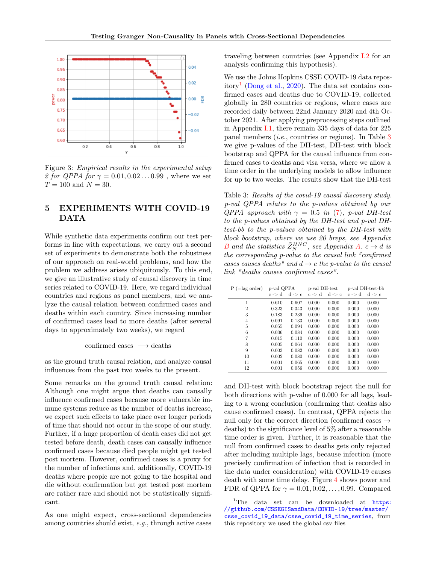<span id="page-7-1"></span>

Figure 3: Empirical results in the experimental setup 2 for QPPA for  $\gamma = 0.01, 0.02 \ldots 0.99$ , where we set  $T = 100$  and  $N = 30$ .

# <span id="page-7-0"></span>5 EXPERIMENTS WITH COVID-19 DATA

While synthetic data experiments confirm our test performs in line with expectations, we carry out a second set of experiments to demonstrate both the robustness of our approach on real-world problems, and how the problem we address arises ubiquitously. To this end, we give an illustrative study of causal discovery in time series related to COVID-19. Here, we regard individual countries and regions as panel members, and we analyze the causal relation between confirmed cases and deaths within each country. Since increasing number of confirmed cases lead to more deaths (after several days to approximately two weeks), we regard

confirmed cases  $\longrightarrow$  deaths

as the ground truth causal relation, and analyze causal influences from the past two weeks to the present.

Some remarks on the ground truth causal relation: Although one might argue that deaths can causally influence confirmed cases because more vulnerable immune systems reduce as the number of deaths increase, we expect such effects to take place over longer periods of time that should not occur in the scope of our study. Further, if a huge proportion of death cases did not get tested before death, death cases can causally influence confirmed cases because died people might get tested post mortem. However, confirmed cases is a proxy for the number of infections and, additionally, COVID-19 deaths where people are not going to the hospital and die without confirmation but get tested post mortem are rather rare and should not be statistically significant.

As one might expect, cross-sectional dependencies among countries should exist, e.g., through active cases traveling between countries (see Appendix [I.2](#page-19-0) for an analysis confirming this hypothesis).

We use the Johns Hopkins CSSE COVID-19 data repository[1](#page-7-2) [\(Dong et al.,](#page-9-20) [2020\)](#page-9-20). The data set contains confirmed cases and deaths due to COVID-19, collected globally in 280 countries or regions, where cases are recorded daily between 22nd January 2020 and 4th October 2021. After applying preprocessing steps outlined in Appendix [I.1,](#page-18-0) there remain 335 days of data for 225 panel members (i.e., countries or regions). In Table [3](#page-7-3) we give p-values of the DH-test, DH-test with block bootstrap and QPPA for the causal influence from confirmed cases to deaths and visa versa, where we allow a time order in the underlying models to allow influence for up to two weeks. The results show that the DH-test

<span id="page-7-3"></span>Table 3: Results of the covid-19 causal discovery study. p-val QPPA relates to the p-values obtained by our QPPA approach with  $\gamma = 0.5$  in [\(7\)](#page-5-2), p-val DH-test to the p-values obtained by the DH-test and p-val DHtest-bb to the p-values obtained by the DH-test with block bootstrap, where we use 20 breps, see Appendix [B](#page-11-1) and the statistics  $\tilde{Z}_N^{HNC}$ , see Appendix [A.](#page-11-0)  $c \to d$  is the corresponding p-value to the causal link "confirmed cases causes deaths" and  $d \rightarrow c$  the p-value to the causal link "deaths causes confirmed cases".

| $P (= \leq \text{order})$ | p-val QPPA        |                   | p-val DH-test     |                   | p-val DH-test-bb  |                   |
|---------------------------|-------------------|-------------------|-------------------|-------------------|-------------------|-------------------|
|                           | $c \rightarrow d$ | $d \rightarrow c$ | $c \rightarrow d$ | $d \rightarrow c$ | $c \rightarrow d$ | $d \rightarrow c$ |
| 1                         | 0.610             | 0.607             | 0.000             | 0.000             | 0.000             | 0.000             |
| $\overline{2}$            | 0.323             | 0.343             | 0.000             | 0.000             | 0.000             | 0.000             |
| 3                         | 0.183             | 0.239             | 0.000             | 0.000             | 0.000             | 0.000             |
| 4                         | 0.091             | 0.133             | 0.000             | 0.000             | 0.000             | 0.000             |
| 5                         | 0.055             | 0.094             | 0.000             | 0.000             | 0.000             | 0.000             |
| 6                         | 0.036             | 0.084             | 0.000             | 0.000             | 0.000             | 0.000             |
| 7                         | 0.015             | 0.110             | 0.000             | 0.000             | 0.000             | 0.000             |
| 8                         | 0.005             | 0.064             | 0.000             | 0.000             | 0.000             | 0.000             |
| 9                         | 0.003             | 0.082             | 0.000             | 0.000             | 0.000             | 0.000             |
| 10                        | 0.002             | 0.080             | 0.000             | 0.000             | 0.000             | 0.000             |
| 11                        | 0.001             | 0.065             | 0.000             | 0.000             | 0.000             | 0.000             |
| 12                        | 0.001             | 0.056             | 0.000             | 0.000             | 0.000             | 0.000             |
|                           |                   |                   |                   |                   |                   |                   |

and DH-test with block bootstrap reject the null for both directions with p-value of 0.000 for all lags, leading to a wrong conclusion (confirming that deaths also cause confirmed cases). In contrast, QPPA rejects the null only for the correct direction (confirmed cases  $\rightarrow$ deaths) to the significance level of 5% after a reasonable time order is given. Further, it is reasonable that the null from confirmed cases to deaths gets only rejected after including multiple lags, because infection (more precisely confirmation of infection that is recorded in the data under consideration) with COVID-19 causes death with some time delay. Figure [4](#page-8-6) shows power and FDR of QPPA for  $\gamma = 0.01, 0.02, \ldots, 0.99$ . Compared

<span id="page-7-2"></span><sup>&</sup>lt;sup>1</sup>The data set can be downloaded at  $https:$ [//github.com/CSSEGISandData/COVID-19/tree/master/](https://github.com/CSSEGISandData/COVID-19/tree/master/csse_covid_19_data/csse_covid_19_time_series) [csse\\_covid\\_19\\_data/csse\\_covid\\_19\\_time\\_series](https://github.com/CSSEGISandData/COVID-19/tree/master/csse_covid_19_data/csse_covid_19_time_series), from this repository we used the global csv files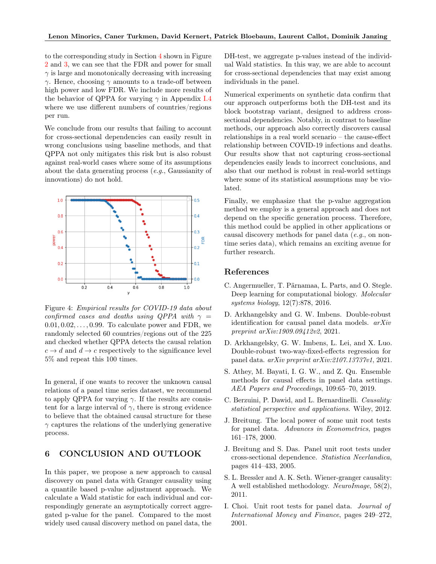to the corresponding study in Section [4](#page-5-0) shown in Figure [2](#page-6-2) and [3,](#page-7-1) we can see that the FDR and power for small  $\gamma$  is large and monotonically decreasing with increasing γ. Hence, choosing  $γ$  amounts to a trade-off between high power and low FDR. We include more results of the behavior of QPPA for varying  $\gamma$  in Appendix [I.4](#page-20-0) where we use different numbers of countries/regions per run.

We conclude from our results that failing to account for cross-sectional dependencies can easily result in wrong conclusions using baseline methods, and that QPPA not only mitigates this risk but is also robust against real-world cases where some of its assumptions about the data generating process (e.g., Gaussianity of innovations) do not hold.

<span id="page-8-6"></span>

Figure 4: Empirical results for COVID-19 data about confirmed cases and deaths using QPPA with  $\gamma$  =  $0.01, 0.02, \ldots, 0.99$ . To calculate power and FDR, we randomly selected 60 countries/regions out of the 225 and checked whether QPPA detects the causal relation  $c \to d$  and  $d \to c$  respectively to the significance level 5% and repeat this 100 times.

In general, if one wants to recover the unknown causal relations of a panel time series dataset, we recommend to apply QPPA for varying  $\gamma$ . If the results are consistent for a large interval of  $\gamma$ , there is strong evidence to believe that the obtained causal structure for these  $\gamma$  captures the relations of the underlying generative process.

# 6 CONCLUSION AND OUTLOOK

In this paper, we propose a new approach to causal discovery on panel data with Granger causality using a quantile based p-value adjustment approach. We calculate a Wald statistic for each individual and correspondingly generate an asymptotically correct aggregated p-value for the panel. Compared to the most widely used causal discovery method on panel data, the DH-test, we aggregate p-values instead of the individual Wald statistics. In this way, we are able to account for cross-sectional dependencies that may exist among individuals in the panel.

Numerical experiments on synthetic data confirm that our approach outperforms both the DH-test and its block bootstrap variant, designed to address crosssectional dependencies. Notably, in contrast to baseline methods, our approach also correctly discovers causal relationships in a real world scenario – the cause-effect relationship between COVID-19 infections and deaths. Our results show that not capturing cross-sectional dependencies easily leads to incorrect conclusions, and also that our method is robust in real-world settings where some of its statistical assumptions may be violated.

Finally, we emphasize that the p-value aggregation method we employ is a general approach and does not depend on the specific generation process. Therefore, this method could be applied in other applications or causal discovery methods for panel data (e.g., on nontime series data), which remains an exciting avenue for further research.

#### References

- <span id="page-8-0"></span>C. Angermueller, T. Pärnamaa, L. Parts, and O. Stegle. Deep learning for computational biology. Molecular systems biology, 12(7):878, 2016.
- <span id="page-8-3"></span>D. Arkhangelsky and G. W. Imbens. Double-robust identification for causal panel data models. arXiv preprint arXiv:1909.09412v2, 2021.
- <span id="page-8-4"></span>D. Arkhangelsky, G. W. Imbens, L. Lei, and X. Luo. Double-robust two-way-fixed-effects regression for panel data. arXiv preprint arXiv:2107.13737v1, 2021.
- <span id="page-8-5"></span>S. Athey, M. Bayati, I. G. W., and Z. Qu. Ensemble methods for causal effects in panel data settings. AEA Papers and Proceedings, 109:65–70, 2019.
- <span id="page-8-1"></span>C. Berzuini, P. Dawid, and L. Bernardinelli. Causality: statistical perspective and applications. Wiley, 2012.
- <span id="page-8-7"></span>J. Breitung. The local power of some unit root tests for panel data. Advances in Econometrics, pages 161–178, 2000.
- <span id="page-8-8"></span>J. Breitung and S. Das. Panel unit root tests under cross-sectional dependence. Statistica Neerlandica, pages 414–433, 2005.
- <span id="page-8-2"></span>S. L. Bressler and A. K. Seth. Wiener-granger causality: A well established methodology. NeuroImage, 58(2), 2011.
- <span id="page-8-9"></span>I. Choi. Unit root tests for panel data. Journal of International Money and Finance, pages 249–272, 2001.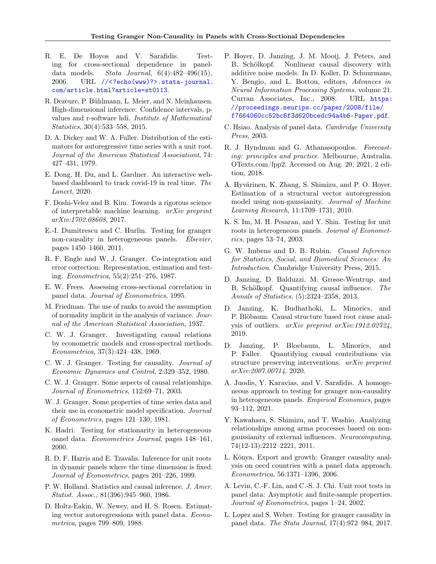- <span id="page-9-24"></span>R. E. De Hoyos and V. Sarafidis. Testing for cross-sectional dependence in paneldata models. Stata Journal,  $6(4):482-496(15)$ , 2006. URL [//<?echo\(www\)?>.stata-journal.](//<? echo(www) ?>.stata-journal.com/article.html?article=st0113) [com/article.html?article=st0113](//<? echo(www) ?>.stata-journal.com/article.html?article=st0113).
- <span id="page-9-17"></span>R. Dezeure, P. Bühlmann, L. Meier, and N. Meinhausen. High-dimensional inference: Confidence intervals, pvalues and r-software hdi. Institute of Mathematical Statistics, 30(4):533–558, 2015.
- <span id="page-9-23"></span>D. A. Dickey and W. A. Fuller. Distribution of the estimators for autoregressive time series with a unit root. Journal of the American Statistical Associationt, 74: 427–431, 1979.
- <span id="page-9-20"></span>E. Dong, H. Du, and L. Gardner. An interactive webbased dashboard to track covid-19 in real time. The Lancet, 2020.
- <span id="page-9-0"></span>F. Doshi-Velez and B. Kim. Towards a rigorous science of interpretable machine learning. arXiv preprint arXiv:1702.08608, 2017.
- <span id="page-9-13"></span>E.-I. Dumitrescu and C. Hurlin. Testing for granger non-causality in heterogeneous panels. Elsevier, pages 1450–1460, 2011.
- <span id="page-9-22"></span>R. F. Engle and W. J. Granger. Co-integration and error correction: Representation, estimation and testing. Econometrica, 55(2):251–276, 1987.
- <span id="page-9-25"></span>E. W. Frees. Assessing cross-sectional correlation in panel data. Journal of Econometrics, 1995.
- <span id="page-9-26"></span>M. Friedman. The use of ranks to avoid the assumption of normality implicit in the analysis of variance. Journal of the American Statistical Association, 1937.
- <span id="page-9-7"></span>C. W. J. Granger. Investigating causal relations by econometric models and cross-spectral methods. Econometrica, 37(3):424–438, 1969.
- <span id="page-9-8"></span>C. W. J. Granger. Testing for causality. Journal of Economic Dynamics and Control, 2:329–352, 1980.
- <span id="page-9-9"></span>C. W. J. Granger. Some aspects of causal relationships. Journal of Econometrics, 112:69–71, 2003.
- <span id="page-9-21"></span>W. J. Granger. Some properties of time series data and their use in econometric model specification. Journal of Econometrics, pages 121–130, 1981.
- <span id="page-9-27"></span>K. Hadri. Testing for stationarity in heterogeneous oanel data. Econometrics Journal, pages 148–161, 2000.
- <span id="page-9-28"></span>R. D. F. Harris and E. Tzavalis. Inference for unit roots in dynamic panels where the time dimension is fixed. Journal of Econometrics, pages 201–226, 1999.
- <span id="page-9-2"></span>P. W. Holland. Statistics and causal inference. J. Amer. Statist. Assoc., 81(396):945–960, 1986.
- <span id="page-9-14"></span>D. Holtz-Eakin, W. Newey, and H. S. Rosen. Estimating vector autoregressions with panel data. Econometrica, pages 799–809, 1988.
- <span id="page-9-6"></span>P. Hoyer, D. Janzing, J. M. Mooij, J. Peters, and B. Schölkopf. Nonlinear causal discovery with additive noise models. In D. Koller, D. Schuurmans, Y. Bengio, and L. Bottou, editors, Advances in Neural Information Processing Systems, volume 21. Curran Associates, Inc., 2008. URL [https:](https://proceedings.neurips.cc/paper/2008/file/f7664060cc52bc6f3d620bcedc94a4b6-Paper.pdf) [//proceedings.neurips.cc/paper/2008/file/](https://proceedings.neurips.cc/paper/2008/file/f7664060cc52bc6f3d620bcedc94a4b6-Paper.pdf) [f7664060cc52bc6f3d620bcedc94a4b6-Paper.pdf](https://proceedings.neurips.cc/paper/2008/file/f7664060cc52bc6f3d620bcedc94a4b6-Paper.pdf).
- <span id="page-9-16"></span>C. Hsiao. Analysis of panel data. Cambridge University Press, 2003.
- <span id="page-9-18"></span>R. J. Hyndman and G. Athanasopoulos. Forecasting: principles and practice. Melbourne, Australia. OTexts.com/fpp2. Accessed on Aug. 20, 2021, 2 edition, 2018.
- <span id="page-9-10"></span>A. Hyvärinen, K. Zhang, S. Shimizu, and P. O. Hoyer. Estimation of a structural vector autoregression model using non-gaussianity. Journal of Machine Learning Research, 11:1709–1731, 2010.
- <span id="page-9-29"></span>K. S. Im, M. H. Pesaran, and Y. Shin. Testing for unit roots in heterogeneous panels. Journal of Econometrics, pages 53–74, 2003.
- <span id="page-9-1"></span>G. W. Imbens and D. B. Rubin. Causal Inference for Statistics, Social, and Biomedical Sciences: An Introduction. Cambridge University Press, 2015.
- <span id="page-9-4"></span>D. Janzing, D. Balduzzi, M. Grosse-Wentrup, and B. Schölkopf. Quantifying causal influence. The Annals of Statistics, (5):2324–2358, 2013.
- <span id="page-9-3"></span>D. Janzing, K. Budhathoki, L. Minorics, and P. Blöbaum. Causal structure based root cause analysis of outliers. arXiv preprint arXiv:1912.02724, 2019.
- <span id="page-9-5"></span>D. Janzing, P. Bloebaum, L. Minorics, and P. Faller. Quantifying causal contributions via structure preserving interventions. arXiv preprint arXiv:2007.00714, 2020.
- <span id="page-9-15"></span>A. Juodis, Y. Karavias, and V. Sarafidis. A homogeneous approach to testing for granger non-causality in heterogeneous panels. Empirical Economics, pages 93–112, 2021.
- <span id="page-9-11"></span>Y. Kawahara, S. Shimizu, and T. Washio. Analyzing relationships among arma processes based on nongaussianity of external influences. Neurocomputing, 74(12-13):2212–2221, 2011.
- <span id="page-9-12"></span>L. Kónya. Export and growth: Granger causality analysis on oecd countries with a panel data approach. Econometrica, 56:1371–1396, 2006.
- <span id="page-9-30"></span>A. Levin, C.-F. Lin, and C.-S. J. Chi. Unit root tests in panel data: Asymptotic and finite-sample properties. Journal of Econometrics, pages 1–24, 2002.
- <span id="page-9-19"></span>L. Lopez and S. Weber. Testing for granger causality in panel data. The Stata Journal, 17(4):972–984, 2017.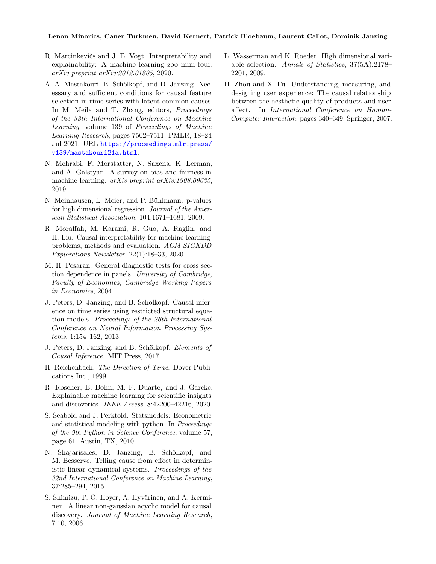- <span id="page-10-1"></span>R. Marcinkevičs and J. E. Vogt. Interpretability and explainability: A machine learning zoo mini-tour. arXiv preprint arXiv:2012.01805, 2020.
- <span id="page-10-13"></span>A. A. Mastakouri, B. Schölkopf, and D. Janzing. Necessary and sufficient conditions for causal feature selection in time series with latent common causes. In M. Meila and T. Zhang, editors, Proceedings of the 38th International Conference on Machine Learning, volume 139 of Proceedings of Machine Learning Research, pages 7502–7511. PMLR, 18–24 Jul 2021. URL [https://proceedings.mlr.press/](https://proceedings.mlr.press/v139/mastakouri21a.html) [v139/mastakouri21a.html](https://proceedings.mlr.press/v139/mastakouri21a.html).
- <span id="page-10-3"></span>N. Mehrabi, F. Morstatter, N. Saxena, K. Lerman, and A. Galstyan. A survey on bias and fairness in machine learning. arXiv preprint arXiv:1908.09635, 2019.
- <span id="page-10-10"></span>N. Meinhausen, L. Meier, and P. Bühlmann. p-values for high dimensional regression. Journal of the American Statistical Association, 104:1671–1681, 2009.
- <span id="page-10-2"></span>R. Moraffah, M. Karami, R. Guo, A. Raglin, and H. Liu. Causal interpretability for machine learningproblems, methods and evaluation. ACM SIGKDD Explorations Newsletter, 22(1):18–33, 2020.
- <span id="page-10-14"></span>M. H. Pesaran. General diagnostic tests for cross section dependence in panels. University of Cambridge, Faculty of Economics, Cambridge Working Papers in Economics, 2004.
- <span id="page-10-9"></span>J. Peters, D. Janzing, and B. Schölkopf. Causal inference on time series using restricted structural equation models. Proceedings of the 26th International Conference on Neural Information Processing Systems, 1:154–162, 2013.
- <span id="page-10-5"></span>J. Peters, D. Janzing, and B. Schölkopf. Elements of Causal Inference. MIT Press, 2017.
- <span id="page-10-7"></span>H. Reichenbach. The Direction of Time. Dover Publications Inc., 1999.
- <span id="page-10-0"></span>R. Roscher, B. Bohn, M. F. Duarte, and J. Garcke. Explainable machine learning for scientific insights and discoveries. IEEE Access, 8:42200–42216, 2020.
- <span id="page-10-12"></span>S. Seabold and J. Perktold. Statsmodels: Econometric and statistical modeling with python. In Proceedings of the 9th Python in Science Conference, volume 57, page 61. Austin, TX, 2010.
- <span id="page-10-8"></span>N. Shajarisales, D. Janzing, B. Schölkopf, and M. Besserve. Telling cause from effect in deterministic linear dynamical systems. Proceedings of the 32nd International Conference on Machine Learning, 37:285–294, 2015.
- <span id="page-10-6"></span>S. Shimizu, P. O. Hoyer, A. Hyvärinen, and A. Kerminen. A linear non-gaussian acyclic model for causal discovery. Journal of Machine Learning Research, 7.10, 2006.
- <span id="page-10-11"></span>L. Wasserman and K. Roeder. High dimensional variable selection. Annals of Statistics, 37(5A):2178– 2201, 2009.
- <span id="page-10-4"></span>H. Zhou and X. Fu. Understanding, measuring, and designing user experience: The causal relationship between the aesthetic quality of products and user affect. In International Conference on Human-Computer Interaction, pages 340–349. Springer, 2007.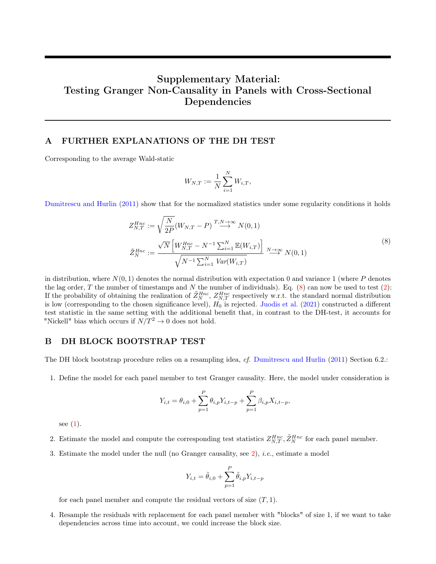# Supplementary Material: Testing Granger Non-Causality in Panels with Cross-Sectional Dependencies

# <span id="page-11-0"></span>A FURTHER EXPLANATIONS OF THE DH TEST

Corresponding to the average Wald-static

<span id="page-11-2"></span>
$$
W_{N,T} := \frac{1}{N} \sum_{i=1}^{N} W_{i,T},
$$

[Dumitrescu and Hurlin](#page-9-13) [\(2011\)](#page-9-13) show that for the normalized statistics under some regularity conditions it holds

$$
Z_{N,T}^{Hnc} := \sqrt{\frac{N}{2P}} (W_{N,T} - P)^{\text{T}, \text{N} \to \infty} N(0, 1)
$$
  

$$
\tilde{Z}_N^{Hnc} := \frac{\sqrt{N} \left[ W_{N,T}^{Hnc} - N^{-1} \sum_{i=1}^N \mathbb{E}(W_{i,T}) \right]}{\sqrt{N^{-1} \sum_{i=1}^N Var(W_{i,T})}} \xrightarrow{N \to \infty} N(0, 1)
$$
 (8)

in distribution, where  $N(0, 1)$  denotes the normal distribution with expectation 0 and variance 1 (where P denotes the lag order, T the number of timestamps and N the number of individuals). Eq.  $(8)$  can now be used to test  $(2)$ : If the probability of obtaining the realization of  $\tilde{Z}_N^{Hnc}$ ,  $Z_{N,T}^{Hnc}$  respectively w.r.t. the standard normal distribution is low (corresponding to the chosen significance level),  $H_0$  is rejected. [Juodis et al.](#page-9-15) [\(2021\)](#page-9-15) constructed a different test statistic in the same setting with the additional benefit that, in contrast to the DH-test, it accounts for "Nickell" bias which occurs if  $N/T^2 \rightarrow 0$  does not hold.

## <span id="page-11-1"></span>B DH BLOCK BOOTSTRAP TEST

The DH block bootstrap procedure relies on a resampling idea, cf. [Dumitrescu and Hurlin](#page-9-13) [\(2011\)](#page-9-13) Section 6.2.:

1. Define the model for each panel member to test Granger causality. Here, the model under consideration is

$$
Y_{i,t} = \theta_{i,0} + \sum_{p=1}^{P} \theta_{i,p} Y_{i,t-p} + \sum_{p=1}^{P} \beta_{i,p} X_{i,t-p},
$$

see [\(1\)](#page-2-0).

2. Estimate the model and compute the corresponding test statistics  $Z_{N,T}^{Hnc}$ ,  $\tilde{Z}_N^{Hnc}$  for each panel member.

3. Estimate the model under the null (no Granger causality, see [2\)](#page-2-1), i.e., estimate a model

$$
Y_{i,t} = \tilde{\theta}_{i,0} + \sum_{p=1}^{P} \tilde{\theta}_{i,p} Y_{i,t-p}
$$

for each panel member and compute the residual vectors of size  $(T, 1)$ .

4. Resample the residuals with replacement for each panel member with "blocks" of size 1, if we want to take dependencies across time into account, we could increase the block size.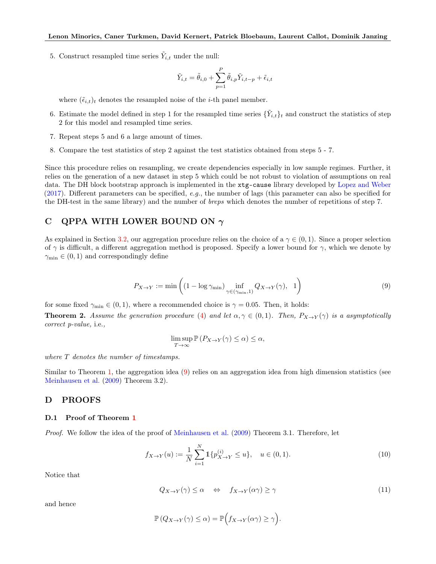5. Construct resampled time series  $\tilde{Y}_{i,t}$  under the null:

$$
\tilde{Y}_{i,t} = \tilde{\theta}_{i,0} + \sum_{p=1}^P \tilde{\theta}_{i,p} \tilde{Y}_{i,t-p} + \tilde{\epsilon}_{i,t}
$$

where  $(\tilde{\epsilon}_{i,t})_t$  denotes the resampled noise of the *i*-th panel member.

- 6. Estimate the model defined in step 1 for the resampled time series  $\{\tilde{Y}_{i,t}\}_t$  and construct the statistics of step 2 for this model and resampled time series.
- 7. Repeat steps 5 and 6 a large amount of times.
- 8. Compare the test statistics of step 2 against the test statistics obtained from steps 5 7.

Since this procedure relies on resampling, we create dependencies especially in low sample regimes. Further, it relies on the generation of a new dataset in step 5 which could be not robust to violation of assumptions on real data. The DH block bootstrap approach is implemented in the xtg-cause library developed by [Lopez and Weber](#page-9-19) [\(2017\)](#page-9-19). Different parameters can be specified, e.g., the number of lags (this parameter can also be specified for the DH-test in the same library) and the number of *breps* which denotes the number of repetitions of step 7.

# <span id="page-12-1"></span>C QPPA WITH LOWER BOUND ON  $\gamma$

As explained in Section [3.2,](#page-4-1) our aggregation procedure relies on the choice of a  $\gamma \in (0,1)$ . Since a proper selection of  $\gamma$  is difficult, a different aggregation method is proposed. Specify a lower bound for  $\gamma$ , which we denote by  $\gamma_{\min} \in (0, 1)$  and correspondingly define

$$
P_{X \to Y} := \min\left( (1 - \log \gamma_{\min}) \inf_{\gamma \in (\gamma_{\min}, 1)} Q_{X \to Y}(\gamma), \quad 1 \right) \tag{9}
$$

for some fixed  $\gamma_{\text{min}} \in (0, 1)$ , where a recommended choice is  $\gamma = 0.05$ . Then, it holds:

<span id="page-12-3"></span>**Theorem 2.** Assume the generation procedure [\(4\)](#page-3-4) and let  $\alpha, \gamma \in (0,1)$ . Then,  $P_{X\to Y}(\gamma)$  is a asymptotically correct p-value, i.e.,

<span id="page-12-2"></span>
$$
\limsup_{T \to \infty} \mathbb{P}\left(P_{X \to Y}(\gamma) \le \alpha\right) \le \alpha,
$$

where T denotes the number of timestamps.

Similar to Theorem [1,](#page-5-1) the aggregation idea [\(9\)](#page-12-2) relies on an aggregation idea from high dimension statistics (see [Meinhausen et al.](#page-10-10) [\(2009\)](#page-10-10) Theorem 3.2).

#### <span id="page-12-0"></span>D PROOFS

#### D.1 Proof of Theorem [1](#page-5-1)

Proof. We follow the idea of the proof of [Meinhausen et al.](#page-10-10) [\(2009\)](#page-10-10) Theorem 3.1. Therefore, let

$$
f_{X \to Y}(u) := \frac{1}{N} \sum_{i=1}^{N} \mathbb{1} \{ p_{X \to Y}^{(i)} \le u \}, \quad u \in (0, 1).
$$
 (10)

Notice that

<span id="page-12-5"></span><span id="page-12-4"></span>
$$
Q_{X \to Y}(\gamma) \le \alpha \quad \Leftrightarrow \quad f_{X \to Y}(\alpha \gamma) \ge \gamma \tag{11}
$$

and hence

$$
\mathbb{P}(Q_{X\to Y}(\gamma) \leq \alpha) = \mathbb{P}\Big(f_{X\to Y}(\alpha \gamma) \geq \gamma\Big).
$$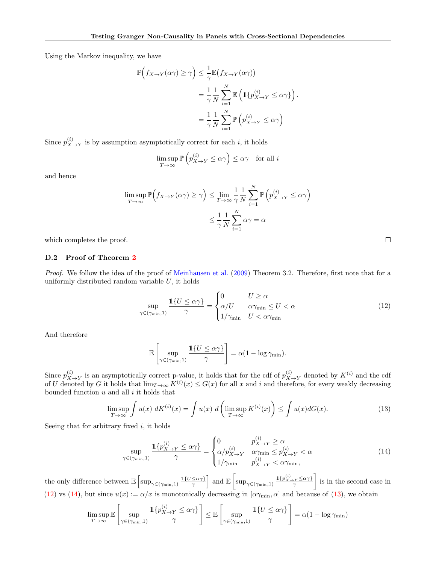Using the Markov inequality, we have

$$
\mathbb{P}\Big(f_{X \to Y}(\alpha \gamma) \ge \gamma\Big) \le \frac{1}{\gamma} \mathbb{E}\big(f_{X \to Y}(\alpha \gamma)\big)
$$
  
=  $\frac{1}{\gamma} \frac{1}{N} \sum_{i=1}^{N} \mathbb{E}\Big(\mathbb{1}\{p_{X \to Y}^{(i)} \le \alpha \gamma\}\Big).$   
=  $\frac{1}{\gamma} \frac{1}{N} \sum_{i=1}^{N} \mathbb{P}\Big(p_{X \to Y}^{(i)} \le \alpha \gamma\Big).$ 

Since  $p_X^{(i)}$  $X \rightarrow Y$  is by assumption asymptotically correct for each i, it holds

$$
\limsup_{T \to \infty} \mathbb{P}\left(p_{X \to Y}^{(i)} \le \alpha \gamma\right) \le \alpha \gamma \quad \text{for all } i
$$

and hence

$$
\limsup_{T \to \infty} \mathbb{P}\Big(f_{X \to Y}(\alpha \gamma) \ge \gamma\Big) \le \lim_{T \to \infty} \frac{1}{\gamma} \frac{1}{N} \sum_{i=1}^N \mathbb{P}\Big(p_{X \to Y}^{(i)} \le \alpha \gamma\Big)
$$

$$
\le \frac{1}{\gamma} \frac{1}{N} \sum_{i=1}^N \alpha \gamma = \alpha
$$

which completes the proof.

#### D.2 Proof of Theorem [2](#page-12-3)

Proof. We follow the idea of the proof of [Meinhausen et al.](#page-10-10) [\(2009\)](#page-10-10) Theorem 3.2. Therefore, first note that for a uniformly distributed random variable  $U$ , it holds

$$
\sup_{\gamma \in (\gamma_{\min}, 1)} \frac{\mathbb{1}\{U \le \alpha \gamma\}}{\gamma} = \begin{cases} 0 & U \ge \alpha \\ \alpha/U & \alpha \gamma_{\min} \le U < \alpha \\ 1/\gamma_{\min} & U < \alpha \gamma_{\min} \end{cases}
$$
(12)

N

And therefore

$$
\mathbb{E}\left[\sup_{\gamma \in (\gamma_{\min}, 1)} \frac{\mathbb{1}\{U \le \alpha \gamma\}}{\gamma}\right] = \alpha(1 - \log \gamma_{\min}).
$$

Since  $p_X^{(i)}$  $\sum_{X\to Y}^{(i)}$  is an asymptotically correct p-value, it holds that for the cdf of  $p_{X}^{(i)}$ .  $(X \to Y$  denoted by  $K^{(i)}$  and the cdf of U denoted by G it holds that  $\lim_{T\to\infty} K^{(i)}(x) \leq G(x)$  for all x and i and therefore, for every weakly decreasing bounded function  $u$  and all  $i$  it holds that

$$
\limsup_{T \to \infty} \int u(x) \, dK^{(i)}(x) = \int u(x) \, d\left(\limsup_{T \to \infty} K^{(i)}(x)\right) \le \int u(x) dG(x). \tag{13}
$$

Seeing that for arbitrary fixed  $i$ , it holds

$$
\sup_{\gamma \in (\gamma_{\min}, 1)} \frac{\mathbb{1}\{p_{X \to Y}^{(i)} \le \alpha \gamma\}}{\gamma} = \begin{cases} 0 & p_{X \to Y}^{(i)} \ge \alpha \\ \alpha/p_{X \to Y}^{(i)} & \alpha \gamma_{\min} \le p_{X \to Y}^{(i)} < \alpha \\ 1/\gamma_{\min} & p_{X \to Y}^{(i)} < \alpha \gamma_{\min}, \end{cases}
$$
(14)

the only difference between  $\mathbb{E} \left[ \sup_{\gamma \in (\gamma_{\min}, 1)} \frac{1\{U \leq \alpha \gamma\}}{\gamma} \right]$  $\left[\sup_{\gamma\in(\gamma_{\min},1)}\frac{\mathbb{1}\{p_{X\to Y}^{(i)}\leq\alpha\gamma\}}{\gamma}\right]$  is in the second case in [\(12\)](#page-13-0) vs [\(14\)](#page-13-1), but since  $u(x) := \alpha/x$  is monotonically decreasing in  $[\alpha\gamma_{\rm min}, \alpha]$  and because of [\(13\)](#page-13-2), we obtain

$$
\limsup_{T \to \infty} \mathbb{E} \left[ \sup_{\gamma \in (\gamma_{\min}, 1)} \frac{\mathbb{1}\{p_{X \to Y}^{(i)} \le \alpha \gamma\}}{\gamma} \right] \le \mathbb{E} \left[ \sup_{\gamma \in (\gamma_{\min}, 1)} \frac{\mathbb{1}\{U \le \alpha \gamma\}}{\gamma} \right] = \alpha (1 - \log \gamma_{\min})
$$

<span id="page-13-2"></span><span id="page-13-1"></span><span id="page-13-0"></span>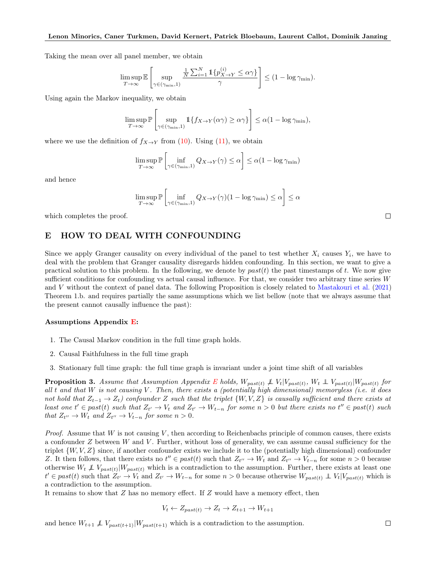Taking the mean over all panel member, we obtain

$$
\limsup_{T \to \infty} \mathbb{E} \left[ \sup_{\gamma \in (\gamma_{\min}, 1)} \frac{\frac{1}{N} \sum_{i=1}^{N} \mathbb{1}\{p_{X \to Y}^{(i)} \le \alpha \gamma\}}{\gamma} \right] \le (1 - \log \gamma_{\min}).
$$

Using again the Markov inequality, we obtain

$$
\limsup_{T \to \infty} \mathbb{P} \left[ \sup_{\gamma \in (\gamma_{\min}, 1)} \mathbb{1} \{ f_{X \to Y}(\alpha \gamma) \ge \alpha \gamma \} \right] \le \alpha (1 - \log \gamma_{\min}),
$$

where we use the definition of  $f_{X\to Y}$  from [\(10\)](#page-12-4). Using [\(11\)](#page-12-5), we obtain

$$
\limsup_{T \to \infty} \mathbb{P} \left[ \inf_{\gamma \in (\gamma_{\min}, 1)} Q_{X \to Y}(\gamma) \le \alpha \right] \le \alpha (1 - \log \gamma_{\min})
$$

and hence

$$
\limsup_{T \to \infty} \mathbb{P} \left[ \inf_{\gamma \in (\gamma_{\min}, 1)} Q_{X \to Y}(\gamma) (1 - \log \gamma_{\min}) \le \alpha \right] \le \alpha
$$

which completes the proof.

## <span id="page-14-0"></span>E HOW TO DEAL WITH CONFOUNDING

Since we apply Granger causality on every individual of the panel to test whether  $X_i$  causes  $Y_i$ , we have to deal with the problem that Granger causality disregards hidden confounding. In this section, we want to give a practical solution to this problem. In the following, we denote by  $past(t)$  the past timestamps of t. We now give sufficient conditions for confounding vs actual causal influence. For that, we consider two arbitrary time series W and V without the context of panel data. The following Proposition is closely related to [Mastakouri et al.](#page-10-13) [\(2021\)](#page-10-13) Theorem 1.b. and requires partially the same assumptions which we list bellow (note that we always assume that the present cannot causally influence the past):

#### Assumptions Appendix [E:](#page-14-0)

- 1. The Causal Markov condition in the full time graph holds.
- 2. Causal Faithfulness in the full time graph
- 3. Stationary full time graph: the full time graph is invariant under a joint time shift of all variables

**Proposition 3.** Assume that Assumption Appendix [E](#page-14-0) holds,  $W_{past(t)} \not\perp V_t | V_{past(t)}, W_t \perp V_{past(t)} | W_{past(t)}$  for all t and that  $W$  is not causing  $V$ . Then, there exists a (potentially high dimensional) memoryless (i.e. it does not hold that  $Z_{t-1}\to Z_t$ ) confounder Z such that the triplet  $\{W, V, Z\}$  is causally sufficient and there exists at least one  $t' \in past(t)$  such that  $Z_{t'} \to V_t$  and  $Z_{t'} \to W_{t-n}$  for some  $n > 0$  but there exists no  $t'' \in past(t)$  such that  $Z_{t''} \to W_t$  and  $Z_{t''} \to V_{t-n}$  for some  $n > 0$ .

*Proof.* Assume that  $W$  is not causing  $V$ , then according to Reichenbachs principle of common causes, there exists a confounder  $Z$  between  $W$  and  $V$ . Further, without loss of generality, we can assume causal sufficiency for the triplet  $\{W, V, Z\}$  since, if another confounder exists we include it to the (potentially high dimensional) confounder Z. It then follows, that there exists no  $t'' \in past(t)$  such that  $Z_{t''} \to W_t$  and  $Z_{t''} \to V_{t-n}$  for some  $n > 0$  because otherwise  $W_t \not\perp V_{past(t)} | W_{past(t)} \n$  which is a contradiction to the assumption. Further, there exists at least one  $t' \in past(t)$  such that  $Z_{t'} \to V_t$  and  $Z_{t'} \to W_{t-n}$  for some  $n > 0$  because otherwise  $W_{past(t)} \perp V_t | V_{past(t)}$  which is a contradiction to the assumption.

It remains to show that Z has no memory effect. If Z would have a memory effect, then

$$
V_t \leftarrow Z_{past(t)} \rightarrow Z_t \rightarrow Z_{t+1} \rightarrow W_{t+1}
$$

and hence  $W_{t+1} \not\perp V_{past(t+1)}|W_{past(t+1)}|$  which is a contradiction to the assumption.

 $\Box$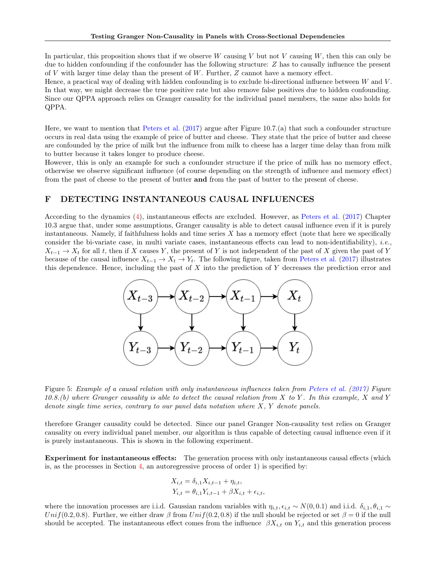In particular, this proposition shows that if we observe W causing V but not V causing W, then this can only be due to hidden confounding if the confounder has the following structure: Z has to causally influence the present of V with larger time delay than the present of  $W$ . Further,  $Z$  cannot have a memory effect.

Hence, a practical way of dealing with hidden confounding is to exclude bi-directional influence between  $W$  and  $V$ . In that way, we might decrease the true positive rate but also remove false positives due to hidden confounding. Since our QPPA approach relies on Granger causality for the individual panel members, the same also holds for QPPA.

Here, we want to mention that [Peters et al.](#page-10-5) [\(2017\)](#page-10-5) argue after Figure 10.7.(a) that such a confounder structure occurs in real data using the example of price of butter and cheese. They state that the price of butter and cheese are confounded by the price of milk but the influence from milk to cheese has a larger time delay than from milk to butter because it takes longer to produce cheese.

However, this is only an example for such a confounder structure if the price of milk has no memory effect, otherwise we observe significant influence (of course depending on the strength of influence and memory effect) from the past of cheese to the present of butter and from the past of butter to the present of cheese.

#### <span id="page-15-0"></span>F DETECTING INSTANTANEOUS CAUSAL INFLUENCES

<span id="page-15-1"></span>According to the dynamics [\(4\)](#page-3-4), instantaneous effects are excluded. However, as [Peters et al.](#page-10-5) [\(2017\)](#page-10-5) Chapter 10.3 argue that, under some assumptions, Granger causality is able to detect causal influence even if it is purely instantaneous. Namely, if faithfulness holds and time series  $X$  has a memory effect (note that here we specifically consider the bi-variate case, in multi variate cases, instantaneous effects can lead to non-identifiability), *i.e.*,  $X_{t-1} \to X_t$  for all t, then if X causes Y, the present of Y is not independent of the past of X given the past of Y because of the causal influence  $X_{t-1} \to X_t \to Y_t$ . The following figure, taken from [Peters et al.](#page-10-5) [\(2017\)](#page-10-5) illustrates this dependence. Hence, including the past of  $X$  into the prediction of  $Y$  decreases the prediction error and



Figure 5: Example of a causal relation with only instantaneous influences taken from [Peters et al.](#page-10-5) [\(2017\)](#page-10-5) Figure 10.8.(b) where Granger causality is able to detect the causal relation from X to Y . In this example, X and Y denote single time series, contrary to our panel data notation where  $X, Y$  denote panels.

therefore Granger causality could be detected. Since our panel Granger Non-causality test relies on Granger causality on every individual panel member, our algorithm is thus capable of detecting causal influence even if it is purely instantaneous. This is shown in the following experiment.

Experiment for instantaneous effects: The generation process with only instantaneous causal effects (which is, as the processes in Section [4,](#page-5-0) an autoregressive process of order 1) is specified by:

$$
X_{i,t} = \delta_{i,1} X_{i,t-1} + \eta_{i,t},
$$
  
\n
$$
Y_{i,t} = \theta_{i,1} Y_{i,t-1} + \beta X_{i,t} + \epsilon_{i,t},
$$

where the innovation processes are i.i.d. Gaussian random variables with  $\eta_{i,t}, \epsilon_{i,t} \sim N(0, 0.1)$  and i.i.d.  $\delta_{i,1}, \theta_{i,1} \sim$  $Unif(0.2, 0.8)$ . Further, we either draw  $\beta$  from  $Unif(0.2, 0.8)$  if the null should be rejected or set  $\beta = 0$  if the null should be accepted. The instantaneous effect comes from the influence  $\beta X_{i,t}$  on  $Y_{i,t}$  and this generation process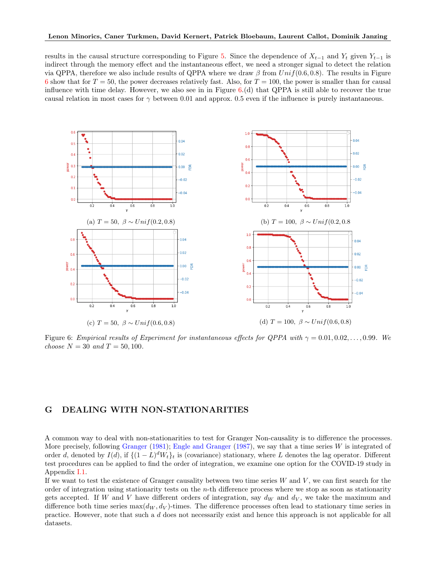results in the causal structure corresponding to Figure [5.](#page-15-1) Since the dependence of  $X_{t-1}$  and  $Y_t$  given  $Y_{t-1}$  is indirect through the memory effect and the instantaneous effect, we need a stronger signal to detect the relation via QPPA, therefore we also include results of QPPA where we draw  $\beta$  from  $Unif(0.6, 0.8)$ . The results in Figure [6](#page-16-1) show that for  $T = 50$ , the power decreases relatively fast. Also, for  $T = 100$ , the power is smaller than for causal influence with time delay. However, we also see in in Figure  $6.(d)$  $6.(d)$  that QPPA is still able to recover the true causal relation in most cases for  $\gamma$  between 0.01 and approx. 0.5 even if the influence is purely instantaneous.

<span id="page-16-1"></span>

Figure 6: Empirical results of Experiment for instantaneous effects for QPPA with  $\gamma = 0.01, 0.02, \ldots, 0.99$ . We choose  $N = 30$  and  $T = 50, 100$ .

### <span id="page-16-0"></span>G DEALING WITH NON-STATIONARITIES

A common way to deal with non-stationarities to test for Granger Non-causality is to difference the processes. More precisely, following [Granger](#page-9-21) [\(1981\)](#page-9-21); [Engle and Granger](#page-9-22) [\(1987\)](#page-9-22), we say that a time series W is integrated of order d, denoted by  $I(d)$ , if  $\{(1-L)^dW_t\}_t$  is (covariance) stationary, where L denotes the lag operator. Different test procedures can be applied to find the order of integration, we examine one option for the COVID-19 study in Appendix [I.1.](#page-18-0)

If we want to test the existence of Granger causality between two time series  $W$  and  $V$ , we can first search for the order of integration using stationarity tests on the  $n$ -th difference process where we stop as soon as stationarity gets accepted. If W and V have different orders of integration, say  $d_W$  and  $d_V$ , we take the maximum and difference both time series  $\max(d_W, d_V)$ -times. The difference processes often lead to stationary time series in practice. However, note that such a d does not necessarily exist and hence this approach is not applicable for all datasets.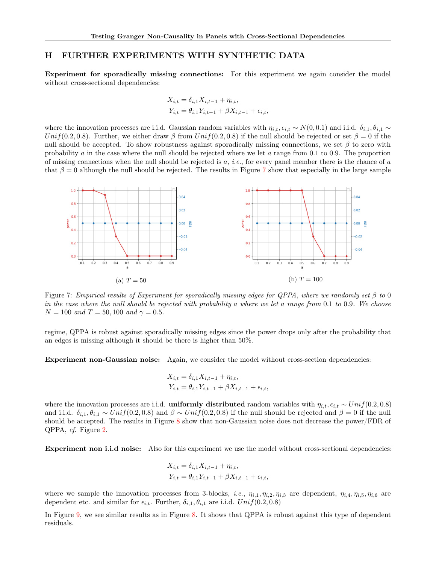## <span id="page-17-0"></span>H FURTHER EXPERIMENTS WITH SYNTHETIC DATA

Experiment for sporadically missing connections: For this experiment we again consider the model without cross-sectional dependencies:

$$
X_{i,t} = \delta_{i,1} X_{i,t-1} + \eta_{i,t},
$$
  
\n
$$
Y_{i,t} = \theta_{i,1} Y_{i,t-1} + \beta X_{i,t-1} + \epsilon_{i,t},
$$

where the innovation processes are i.i.d. Gaussian random variables with  $\eta_{i,t}, \epsilon_{i,t} \sim N(0, 0.1)$  and i.i.d.  $\delta_{i,1}, \theta_{i,1} \sim$ Unif(0.2, 0.8). Further, we either draw β from  $Unif(0.2, 0.8)$  if the null should be rejected or set  $\beta = 0$  if the null should be accepted. To show robustness against sporadically missing connections, we set  $\beta$  to zero with probability  $a$  in the case where the null should be rejected where we let  $a$  range from 0.1 to 0.9. The proportion of missing connections when the null should be rejected is  $a, i.e.,$  for every panel member there is the chance of  $a$ that  $\beta = 0$  although the null should be rejected. The results in Figure [7](#page-17-1) show that especially in the large sample

<span id="page-17-1"></span>

Figure 7: Empirical results of Experiment for sporadically missing edges for QPPA, where we randomly set  $\beta$  to 0 in the case where the null should be rejected with probability a where we let a range from 0.1 to 0.9. We choose  $N = 100$  and  $T = 50, 100$  and  $\gamma = 0.5$ .

regime, QPPA is robust against sporadically missing edges since the power drops only after the probability that an edges is missing although it should be there is higher than 50%.

Experiment non-Gaussian noise: Again, we consider the model without cross-section dependencies:

$$
X_{i,t} = \delta_{i,1} X_{i,t-1} + \eta_{i,t},
$$
  
\n
$$
Y_{i,t} = \theta_{i,1} Y_{i,t-1} + \beta X_{i,t-1} + \epsilon_{i,t},
$$

where the innovation processes are i.i.d. uniformly distributed random variables with  $\eta_{i,t}, \epsilon_{i,t} \sim Unif(0.2, 0.8)$ and i.i.d.  $\delta_{i,1}, \theta_{i,1} \sim Unif(0.2, 0.8)$  and  $\beta \sim Unif(0.2, 0.8)$  if the null should be rejected and  $\beta = 0$  if the null should be accepted. The results in Figure [8](#page-18-1) show that non-Gaussian noise does not decrease the power/FDR of QPPA, cf. Figure [2.](#page-6-2)

Experiment non i.i.d noise: Also for this experiment we use the model without cross-sectional dependencies:

$$
X_{i,t} = \delta_{i,1} X_{i,t-1} + \eta_{i,t},
$$
  
\n
$$
Y_{i,t} = \theta_{i,1} Y_{i,t-1} + \beta X_{i,t-1} + \epsilon_{i,t},
$$

where we sample the innovation processes from 3-blocks, *i.e.*,  $\eta_{i,1}, \eta_{i,2}, \eta_{i,3}$  are dependent,  $\eta_{i,4}, \eta_{i,5}, \eta_{i,6}$  are dependent etc. and similar for  $\epsilon_{i,t}$ . Further,  $\delta_{i,1}, \theta_{i,1}$  are i.i.d.  $Unif(0.2, 0.8)$ 

In Figure [9,](#page-18-2) we see similar results as in Figure [8.](#page-18-1) It shows that QPPA is robust against this type of dependent residuals.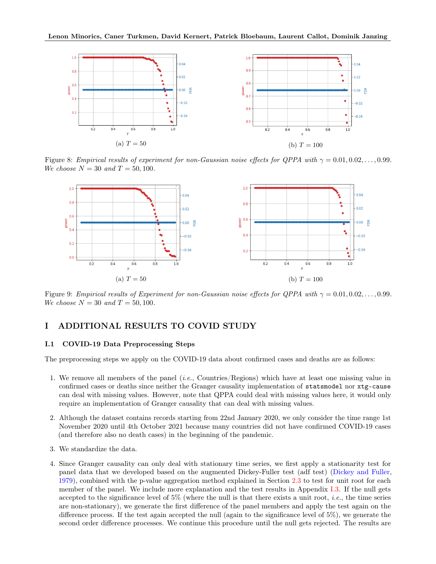<span id="page-18-1"></span>

Figure 8: Empirical results of experiment for non-Gaussian noise effects for QPPA with  $\gamma = 0.01, 0.02, \ldots, 0.99$ . We choose  $N = 30$  and  $T = 50, 100$ .

<span id="page-18-2"></span>

Figure 9: Empirical results of Experiment for non-Gaussian noise effects for QPPA with  $\gamma = 0.01, 0.02, \ldots, 0.99$ . We choose  $N = 30$  and  $T = 50, 100$ .

# I ADDITIONAL RESULTS TO COVID STUDY

#### <span id="page-18-0"></span>I.1 COVID-19 Data Preprocessing Steps

The preprocessing steps we apply on the COVID-19 data about confirmed cases and deaths are as follows:

- 1. We remove all members of the panel (*i.e.*, Countries/Regions) which have at least one missing value in confirmed cases or deaths since neither the Granger causality implementation of statsmodel nor xtg-cause can deal with missing values. However, note that QPPA could deal with missing values here, it would only require an implementation of Granger causality that can deal with missing values.
- 2. Although the dataset contains records starting from 22nd January 2020, we only consider the time range 1st November 2020 until 4th October 2021 because many countries did not have confirmed COVID-19 cases (and therefore also no death cases) in the beginning of the pandemic.
- 3. We standardize the data.
- 4. Since Granger causality can only deal with stationary time series, we first apply a stationarity test for panel data that we developed based on the augmented Dickey-Fuller test (adf test) [\(Dickey and Fuller,](#page-9-23) [1979\)](#page-9-23), combined with the p-value aggregation method explained in Section [2.3](#page-2-3) to test for unit root for each member of the panel. We include more explanation and the test results in Appendix [I.3.](#page-19-1) If the null gets accepted to the significance level of  $5\%$  (where the null is that there exists a unit root, *i.e.*, the time series are non-stationary), we generate the first difference of the panel members and apply the test again on the difference process. If the test again accepted the null (again to the significance level of 5%), we generate the second order difference processes. We continue this procedure until the null gets rejected. The results are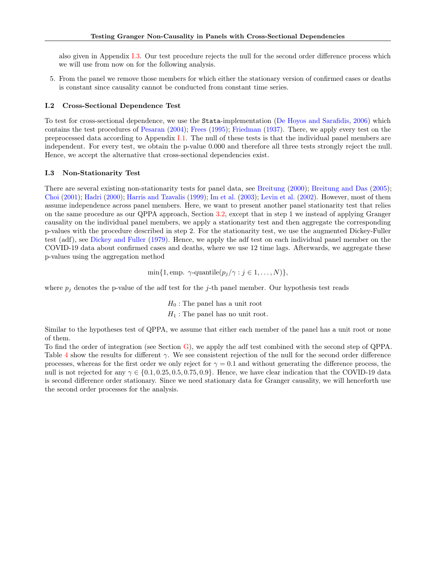also given in Appendix [I.3.](#page-19-1) Our test procedure rejects the null for the second order difference process which we will use from now on for the following analysis.

5. From the panel we remove those members for which either the stationary version of confirmed cases or deaths is constant since causality cannot be conducted from constant time series.

#### <span id="page-19-0"></span>I.2 Cross-Sectional Dependence Test

To test for cross-sectional dependence, we use the Stata-implementation [\(De Hoyos and Sarafidis,](#page-9-24) [2006\)](#page-9-24) which contains the test procedures of [Pesaran](#page-10-14) [\(2004\)](#page-10-14); [Frees](#page-9-25) [\(1995\)](#page-9-25); [Friedman](#page-9-26) [\(1937\)](#page-9-26). There, we apply every test on the preprocessed data according to Appendix [I.1.](#page-18-0) The null of these tests is that the individual panel members are independent. For every test, we obtain the p-value 0.000 and therefore all three tests strongly reject the null. Hence, we accept the alternative that cross-sectional dependencies exist.

#### <span id="page-19-1"></span>I.3 Non-Stationarity Test

There are several existing non-stationarity tests for panel data, see [Breitung](#page-8-7) [\(2000\)](#page-8-7); [Breitung and Das](#page-8-8) [\(2005\)](#page-8-8); [Choi](#page-8-9) [\(2001\)](#page-8-9); [Hadri](#page-9-27) [\(2000\)](#page-9-27); [Harris and Tzavalis](#page-9-28) [\(1999\)](#page-9-28); [Im et al.](#page-9-29) [\(2003\)](#page-9-29); [Levin et al.](#page-9-30) [\(2002\)](#page-9-30). However, most of them assume independence across panel members. Here, we want to present another panel stationarity test that relies on the same procedure as our QPPA approach, Section [3.2,](#page-4-1) except that in step 1 we instead of applying Granger causality on the individual panel members, we apply a stationarity test and then aggregate the corresponding p-values with the procedure described in step 2. For the stationarity test, we use the augmented Dickey-Fuller test (adf), see [Dickey and Fuller](#page-9-23) [\(1979\)](#page-9-23). Hence, we apply the adf test on each individual panel member on the COVID-19 data about confirmed cases and deaths, where we use 12 time lags. Afterwards, we aggregate these p-values using the aggregation method

$$
\min\{1, \text{emp. } \gamma\text{-quantile}(p_j/\gamma : j \in 1, \dots, N)\},\
$$

where  $p_j$  denotes the p-value of the adf test for the j-th panel member. Our hypothesis test reads

 $H_0$ : The panel has a unit root  $H_1$ : The panel has no unit root.

Similar to the hypotheses test of QPPA, we assume that either each member of the panel has a unit root or none of them.

To find the order of integration (see Section [G\)](#page-16-0), we apply the adf test combined with the second step of QPPA. Table [4](#page-20-1) show the results for different  $\gamma$ . We see consistent rejection of the null for the second order difference processes, whereas for the first order we only reject for  $\gamma = 0.1$  and without generating the difference process, the null is not rejected for any  $\gamma \in \{0.1, 0.25, 0.5, 0.75, 0.9\}$ . Hence, we have clear indication that the COVID-19 data is second difference order stationary. Since we need stationary data for Granger causality, we will henceforth use the second order processes for the analysis.